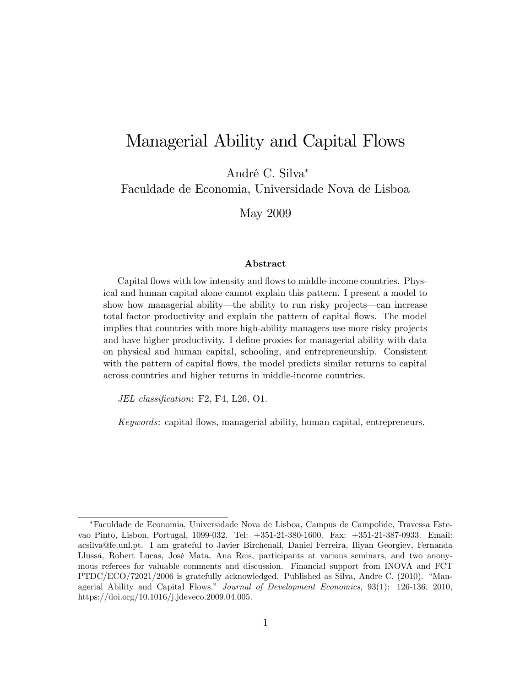# Managerial Ability and Capital Flows

André C. Silva\*

Faculdade de Economia, Universidade Nova de Lisboa

May 2009

#### Abstract

Capital flows with low intensity and flows to middle-income countries. Physical and human capital alone cannot explain this pattern. I present a model to show how managerial ability—the ability to run risky projects—can increase total factor productivity and explain the pattern of capital áows. The model implies that countries with more high-ability managers use more risky projects and have higher productivity. I define proxies for managerial ability with data on physical and human capital, schooling, and entrepreneurship. Consistent with the pattern of capital flows, the model predicts similar returns to capital across countries and higher returns in middle-income countries.

JEL classification:  $F2$ ,  $F4$ , L26, O1.

Keywords: capital áows, managerial ability, human capital, entrepreneurs.

Faculdade de Economia, Universidade Nova de Lisboa, Campus de Campolide, Travessa Estevao Pinto, Lisbon, Portugal, 1099-032. Tel: +351-21-380-1600. Fax: +351-21-387-0933. Email: acsilva@fe.unl.pt. I am grateful to Javier Birchenall, Daniel Ferreira, Iliyan Georgiev, Fernanda Llussá, Robert Lucas, José Mata, Ana Reis, participants at various seminars, and two anonymous referees for valuable comments and discussion. Financial support from INOVA and FCT  $PTDC/ECO/72021/2006$  is gratefully acknowledged. Published as Silva, Andre C. (2010). "Managerial Ability and Capital Flows." Journal of Development Economics, 93(1): 126-136, 2010, https://doi.org/10.1016/j.jdeveco.2009.04.005.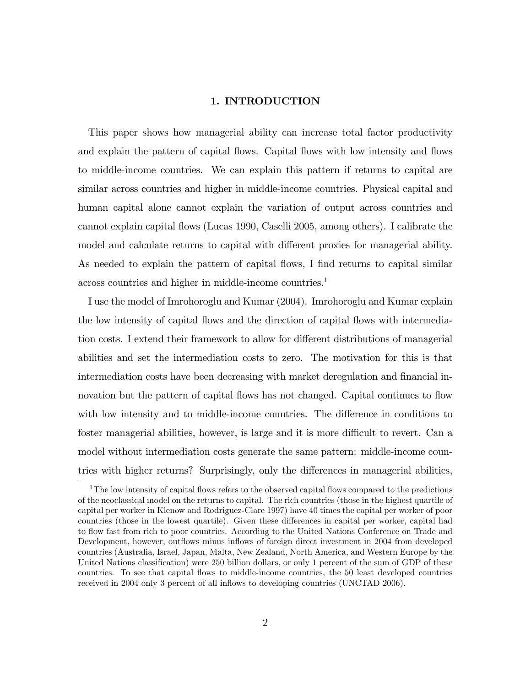# 1. INTRODUCTION

This paper shows how managerial ability can increase total factor productivity and explain the pattern of capital flows. Capital flows with low intensity and flows to middle-income countries. We can explain this pattern if returns to capital are similar across countries and higher in middle-income countries. Physical capital and human capital alone cannot explain the variation of output across countries and cannot explain capital áows (Lucas 1990, Caselli 2005, among others). I calibrate the model and calculate returns to capital with different proxies for managerial ability. As needed to explain the pattern of capital flows, I find returns to capital similar across countries and higher in middle-income countries.<sup>1</sup>

I use the model of Imrohoroglu and Kumar (2004). Imrohoroglu and Kumar explain the low intensity of capital flows and the direction of capital flows with intermediation costs. I extend their framework to allow for different distributions of managerial abilities and set the intermediation costs to zero. The motivation for this is that intermediation costs have been decreasing with market deregulation and financial innovation but the pattern of capital flows has not changed. Capital continues to flow with low intensity and to middle-income countries. The difference in conditions to foster managerial abilities, however, is large and it is more difficult to revert. Can a model without intermediation costs generate the same pattern: middle-income countries with higher returns? Surprisingly, only the differences in managerial abilities,

 $1$ <sup>1</sup>The low intensity of capital flows refers to the observed capital flows compared to the predictions of the neoclassical model on the returns to capital. The rich countries (those in the highest quartile of capital per worker in Klenow and Rodriguez-Clare 1997) have 40 times the capital per worker of poor countries (those in the lowest quartile). Given these differences in capital per worker, capital had to flow fast from rich to poor countries. According to the United Nations Conference on Trade and Development, however, outflows minus inflows of foreign direct investment in 2004 from developed countries (Australia, Israel, Japan, Malta, New Zealand, North America, and Western Europe by the United Nations classification) were 250 billion dollars, or only 1 percent of the sum of GDP of these countries. To see that capital áows to middle-income countries, the 50 least developed countries received in 2004 only 3 percent of all inflows to developing countries (UNCTAD 2006).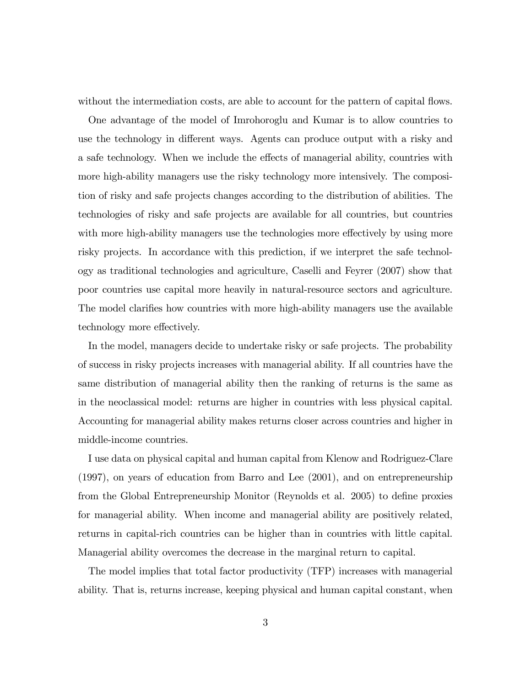without the intermediation costs, are able to account for the pattern of capital flows.

One advantage of the model of Imrohoroglu and Kumar is to allow countries to use the technology in different ways. Agents can produce output with a risky and a safe technology. When we include the effects of managerial ability, countries with more high-ability managers use the risky technology more intensively. The composition of risky and safe projects changes according to the distribution of abilities. The technologies of risky and safe projects are available for all countries, but countries with more high-ability managers use the technologies more effectively by using more risky projects. In accordance with this prediction, if we interpret the safe technology as traditional technologies and agriculture, Caselli and Feyrer (2007) show that poor countries use capital more heavily in natural-resource sectors and agriculture. The model clarifies how countries with more high-ability managers use the available technology more effectively.

In the model, managers decide to undertake risky or safe projects. The probability of success in risky projects increases with managerial ability. If all countries have the same distribution of managerial ability then the ranking of returns is the same as in the neoclassical model: returns are higher in countries with less physical capital. Accounting for managerial ability makes returns closer across countries and higher in middle-income countries.

I use data on physical capital and human capital from Klenow and Rodriguez-Clare (1997), on years of education from Barro and Lee (2001), and on entrepreneurship from the Global Entrepreneurship Monitor (Reynolds et al. 2005) to define proxies for managerial ability. When income and managerial ability are positively related, returns in capital-rich countries can be higher than in countries with little capital. Managerial ability overcomes the decrease in the marginal return to capital.

The model implies that total factor productivity (TFP) increases with managerial ability. That is, returns increase, keeping physical and human capital constant, when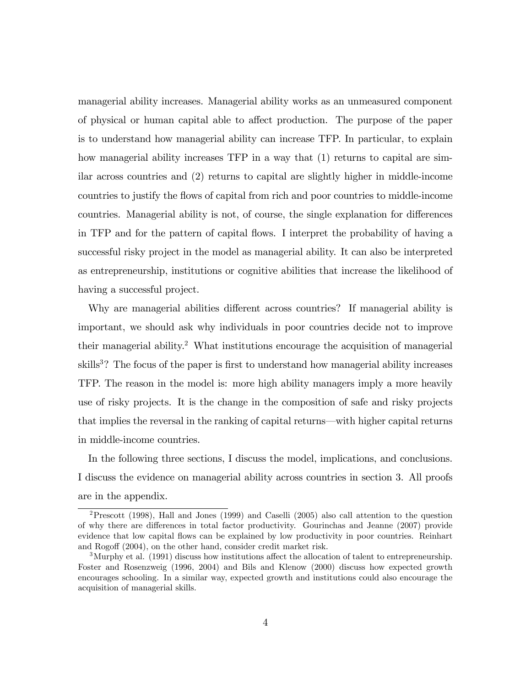managerial ability increases. Managerial ability works as an unmeasured component of physical or human capital able to affect production. The purpose of the paper is to understand how managerial ability can increase TFP. In particular, to explain how managerial ability increases TFP in a way that (1) returns to capital are similar across countries and (2) returns to capital are slightly higher in middle-income countries to justify the flows of capital from rich and poor countries to middle-income countries. Managerial ability is not, of course, the single explanation for differences in TFP and for the pattern of capital áows. I interpret the probability of having a successful risky project in the model as managerial ability. It can also be interpreted as entrepreneurship, institutions or cognitive abilities that increase the likelihood of having a successful project.

Why are managerial abilities different across countries? If managerial ability is important, we should ask why individuals in poor countries decide not to improve their managerial ability.<sup>2</sup> What institutions encourage the acquisition of managerial skills<sup>3</sup>? The focus of the paper is first to understand how managerial ability increases TFP. The reason in the model is: more high ability managers imply a more heavily use of risky projects. It is the change in the composition of safe and risky projects that implies the reversal in the ranking of capital returns—with higher capital returns in middle-income countries.

In the following three sections, I discuss the model, implications, and conclusions. I discuss the evidence on managerial ability across countries in section 3. All proofs are in the appendix.

<sup>&</sup>lt;sup>2</sup>Prescott (1998), Hall and Jones (1999) and Caselli (2005) also call attention to the question of why there are differences in total factor productivity. Gourinchas and Jeanne (2007) provide evidence that low capital áows can be explained by low productivity in poor countries. Reinhart and Rogoff  $(2004)$ , on the other hand, consider credit market risk.

<sup>&</sup>lt;sup>3</sup>Murphy et al. (1991) discuss how institutions affect the allocation of talent to entrepreneurship. Foster and Rosenzweig (1996, 2004) and Bils and Klenow (2000) discuss how expected growth encourages schooling. In a similar way, expected growth and institutions could also encourage the acquisition of managerial skills.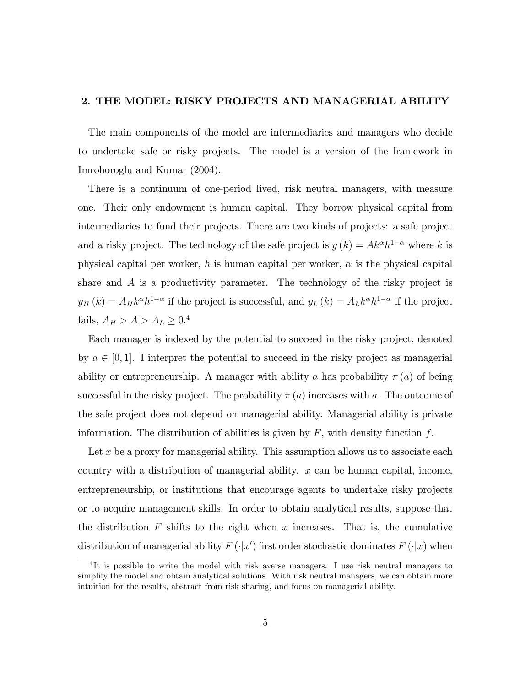# 2. THE MODEL: RISKY PROJECTS AND MANAGERIAL ABILITY

The main components of the model are intermediaries and managers who decide to undertake safe or risky projects. The model is a version of the framework in Imrohoroglu and Kumar (2004).

There is a continuum of one-period lived, risk neutral managers, with measure one. Their only endowment is human capital. They borrow physical capital from intermediaries to fund their projects. There are two kinds of projects: a safe project and a risky project. The technology of the safe project is  $y(k) = Ak^{\alpha}h^{1-\alpha}$  where k is physical capital per worker, h is human capital per worker,  $\alpha$  is the physical capital share and A is a productivity parameter. The technology of the risky project is  $y_H(k) = A_H k^{\alpha} h^{1-\alpha}$  if the project is successful, and  $y_L(k) = A_L k^{\alpha} h^{1-\alpha}$  if the project fails,  $A_H > A > A_L \geq 0.4$ 

Each manager is indexed by the potential to succeed in the risky project, denoted by  $a \in [0, 1]$ . I interpret the potential to succeed in the risky project as managerial ability or entrepreneurship. A manager with ability a has probability  $\pi(a)$  of being successful in the risky project. The probability  $\pi(a)$  increases with a. The outcome of the safe project does not depend on managerial ability. Managerial ability is private information. The distribution of abilities is given by  $F$ , with density function  $f$ .

Let  $x$  be a proxy for managerial ability. This assumption allows us to associate each country with a distribution of managerial ability.  $x$  can be human capital, income, entrepreneurship, or institutions that encourage agents to undertake risky projects or to acquire management skills. In order to obtain analytical results, suppose that the distribution  $F$  shifts to the right when x increases. That is, the cumulative distribution of managerial ability  $F(\cdot|x')$  first order stochastic dominates  $F(\cdot|x)$  when

<sup>&</sup>lt;sup>4</sup>It is possible to write the model with risk averse managers. I use risk neutral managers to simplify the model and obtain analytical solutions. With risk neutral managers, we can obtain more intuition for the results, abstract from risk sharing, and focus on managerial ability.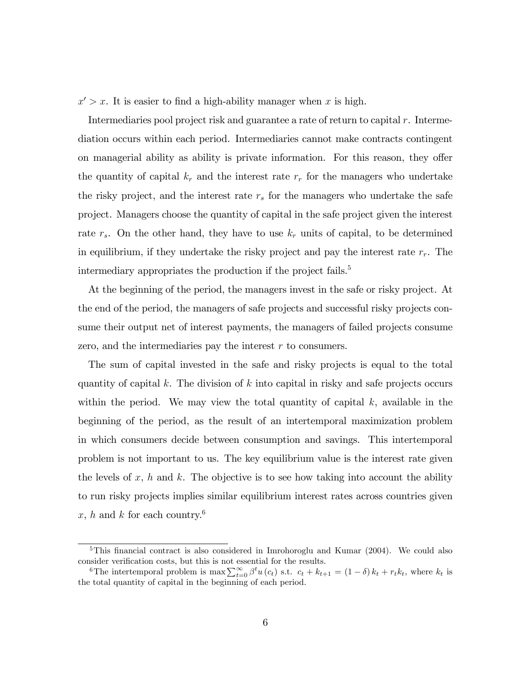$x' > x$ . It is easier to find a high-ability manager when x is high.

Intermediaries pool project risk and guarantee a rate of return to capital r. Intermediation occurs within each period. Intermediaries cannot make contracts contingent on managerial ability as ability is private information. For this reason, they offer the quantity of capital  $k_r$  and the interest rate  $r_r$  for the managers who undertake the risky project, and the interest rate  $r<sub>s</sub>$  for the managers who undertake the safe project. Managers choose the quantity of capital in the safe project given the interest rate  $r_s$ . On the other hand, they have to use  $k_r$  units of capital, to be determined in equilibrium, if they undertake the risky project and pay the interest rate  $r_r$ . The intermediary appropriates the production if the project fails.<sup>5</sup>

At the beginning of the period, the managers invest in the safe or risky project. At the end of the period, the managers of safe projects and successful risky projects consume their output net of interest payments, the managers of failed projects consume zero, and the intermediaries pay the interest r to consumers.

The sum of capital invested in the safe and risky projects is equal to the total quantity of capital k. The division of k into capital in risky and safe projects occurs within the period. We may view the total quantity of capital  $k$ , available in the beginning of the period, as the result of an intertemporal maximization problem in which consumers decide between consumption and savings. This intertemporal problem is not important to us. The key equilibrium value is the interest rate given the levels of x, h and k. The objective is to see how taking into account the ability to run risky projects implies similar equilibrium interest rates across countries given x, h and k for each country.<sup>6</sup>

 $5$ This financial contract is also considered in Imrohoroglu and Kumar (2004). We could also consider verification costs, but this is not essential for the results.

<sup>&</sup>lt;sup>6</sup>The intertemporal problem is max  $\sum_{t=0}^{\infty} \beta^t u(c_t)$  s.t.  $c_t + k_{t+1} = (1 - \delta) k_t + r_t k_t$ , where  $k_t$  is the total quantity of capital in the beginning of each period.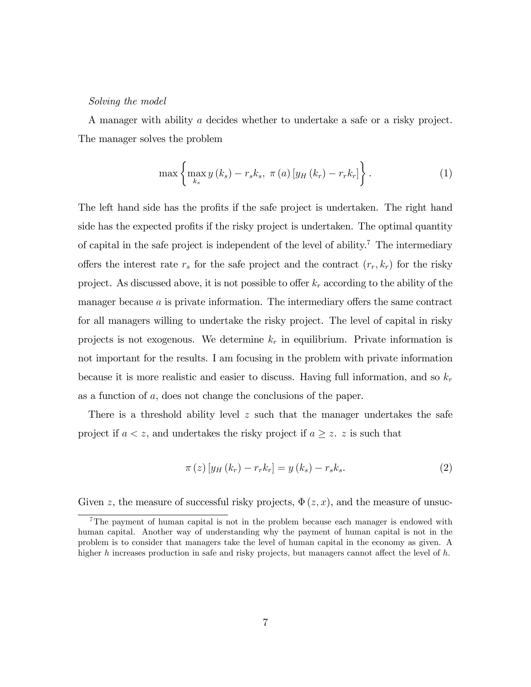#### Solving the model

A manager with ability a decides whether to undertake a safe or a risky project. The manager solves the problem

$$
\max\left\{\max_{k_s} y\left(k_s\right) - r_s k_s, \ \pi\left(a\right)\left[y_H\left(k_r\right) - r_r k_r\right]\right\}.
$$
 (1)

The left hand side has the profits if the safe project is undertaken. The right hand side has the expected profits if the risky project is undertaken. The optimal quantity of capital in the safe project is independent of the level of ability.<sup>7</sup> The intermediary offers the interest rate  $r_s$  for the safe project and the contract  $(r_r, k_r)$  for the risky project. As discussed above, it is not possible to offer  $k_r$  according to the ability of the manager because  $a$  is private information. The intermediary offers the same contract for all managers willing to undertake the risky project. The level of capital in risky projects is not exogenous. We determine  $k_r$  in equilibrium. Private information is not important for the results. I am focusing in the problem with private information because it is more realistic and easier to discuss. Having full information, and so  $k_r$ as a function of a, does not change the conclusions of the paper.

There is a threshold ability level  $z$  such that the manager undertakes the safe project if  $a < z$ , and undertakes the risky project if  $a \geq z$ . z is such that

$$
\pi(z) [y_H (k_r) - r_r k_r] = y (k_s) - r_s k_s. \tag{2}
$$

Given z, the measure of successful risky projects,  $\Phi(z, x)$ , and the measure of unsuc-

<sup>&</sup>lt;sup>7</sup>The payment of human capital is not in the problem because each manager is endowed with human capital. Another way of understanding why the payment of human capital is not in the problem is to consider that managers take the level of human capital in the economy as given. A higher h increases production in safe and risky projects, but managers cannot affect the level of  $h$ .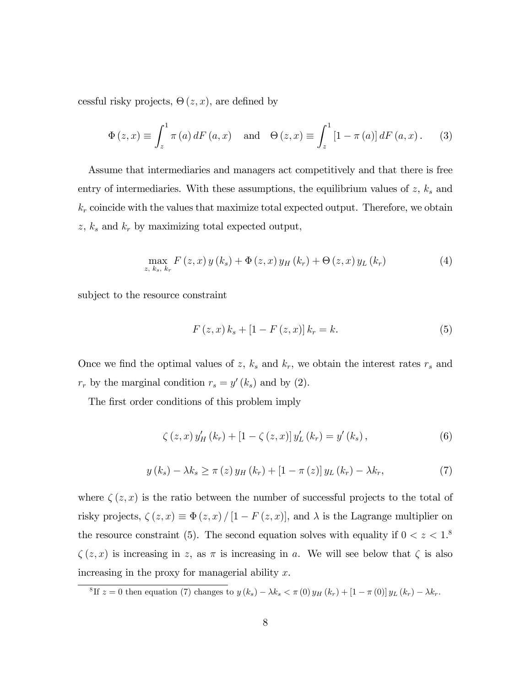cessful risky projects,  $\Theta(z, x)$ , are defined by

$$
\Phi(z, x) \equiv \int_{z}^{1} \pi(a) dF(a, x) \text{ and } \Theta(z, x) \equiv \int_{z}^{1} [1 - \pi(a)] dF(a, x). \quad (3)
$$

Assume that intermediaries and managers act competitively and that there is free entry of intermediaries. With these assumptions, the equilibrium values of  $z$ ,  $k<sub>s</sub>$  and  $k_r$  coincide with the values that maximize total expected output. Therefore, we obtain  $z, k_s$  and  $k_r$  by maximizing total expected output,

$$
\max_{z, k_s, k_r} F(z, x) y(k_s) + \Phi(z, x) y_H(k_r) + \Theta(z, x) y_L(k_r)
$$
 (4)

subject to the resource constraint

$$
F(z, x) k_s + [1 - F(z, x)] k_r = k.
$$
 (5)

Once we find the optimal values of z,  $k_s$  and  $k_r$ , we obtain the interest rates  $r_s$  and  $r_r$  by the marginal condition  $r_s = y'(k_s)$  and by (2).

The first order conditions of this problem imply

$$
\zeta(z, x) y_H'(k_r) + [1 - \zeta(z, x)] y_L'(k_r) = y'(k_s), \qquad (6)
$$

$$
y(k_s) - \lambda k_s \ge \pi(z) y_H(k_r) + [1 - \pi(z)] y_L(k_r) - \lambda k_r,
$$
\n<sup>(7)</sup>

where  $\zeta(z, x)$  is the ratio between the number of successful projects to the total of risky projects,  $\zeta(z, x) \equiv \Phi(z, x) / [1 - F(z, x)]$ , and  $\lambda$  is the Lagrange multiplier on the resource constraint (5). The second equation solves with equality if  $0 < z < 1$ .  $\zeta(z, x)$  is increasing in z, as  $\pi$  is increasing in a. We will see below that  $\zeta$  is also increasing in the proxy for managerial ability  $x$ .

<sup>8</sup>If  $z = 0$  then equation (7) changes to  $y (k_s) - \lambda k_s < \pi (0) y_H (k_r) + [1 - \pi (0)] y_L (k_r) - \lambda k_r$ .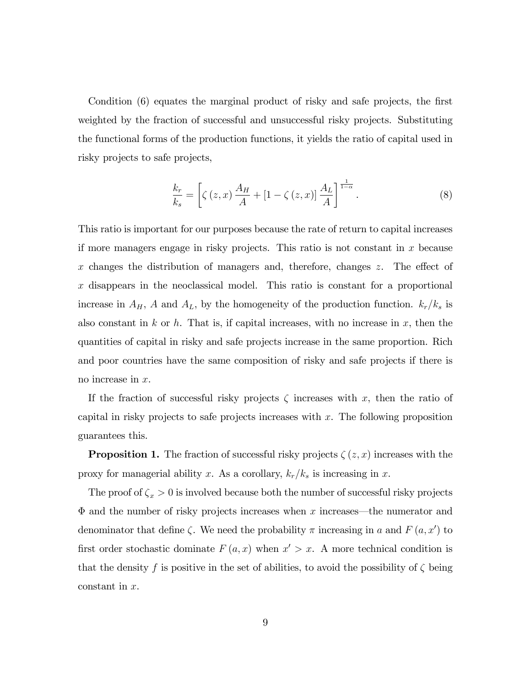Condition (6) equates the marginal product of risky and safe projects, the first weighted by the fraction of successful and unsuccessful risky projects. Substituting the functional forms of the production functions, it yields the ratio of capital used in risky projects to safe projects,

$$
\frac{k_r}{k_s} = \left[ \zeta(z, x) \frac{A_H}{A} + \left[ 1 - \zeta(z, x) \right] \frac{A_L}{A} \right]^{\frac{1}{1 - \alpha}}.
$$
\n(8)

This ratio is important for our purposes because the rate of return to capital increases if more managers engage in risky projects. This ratio is not constant in  $x$  because x changes the distribution of managers and, therefore, changes  $z$ . The effect of x disappears in the neoclassical model. This ratio is constant for a proportional increase in  $A_H$ , A and  $A_L$ , by the homogeneity of the production function.  $k_r/k_s$  is also constant in  $k$  or  $h$ . That is, if capital increases, with no increase in  $x$ , then the quantities of capital in risky and safe projects increase in the same proportion. Rich and poor countries have the same composition of risky and safe projects if there is no increase in x.

If the fraction of successful risky projects  $\zeta$  increases with x, then the ratio of capital in risky projects to safe projects increases with x. The following proposition guarantees this.

**Proposition 1.** The fraction of successful risky projects  $\zeta(z, x)$  increases with the proxy for managerial ability x. As a corollary,  $k_r/k_s$  is increasing in x.

The proof of  $\zeta_x > 0$  is involved because both the number of successful risky projects  $\Phi$  and the number of risky projects increases when x increases—the numerator and denominator that define  $\zeta$ . We need the probability  $\pi$  increasing in a and  $F(a, x')$  to first order stochastic dominate  $F(a, x)$  when  $x' > x$ . A more technical condition is that the density f is positive in the set of abilities, to avoid the possibility of  $\zeta$  being constant in x.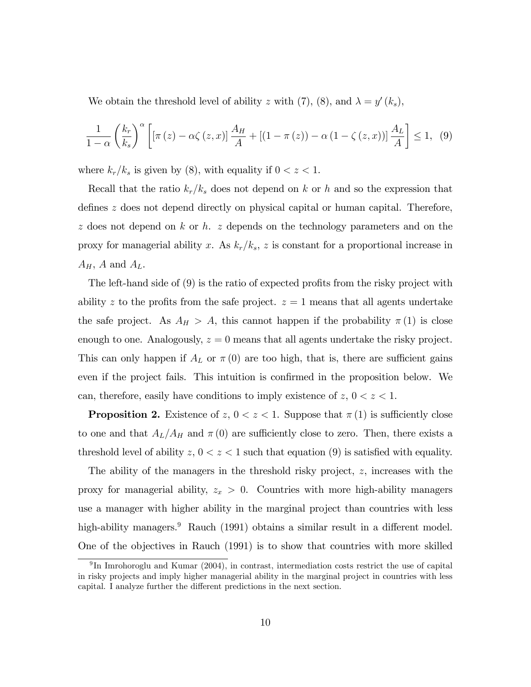We obtain the threshold level of ability z with (7), (8), and  $\lambda = y'(k_s)$ ,

$$
\frac{1}{1-\alpha} \left(\frac{k_r}{k_s}\right)^{\alpha} \left[ \left[\pi(z) - \alpha \zeta(z, x)\right] \frac{A_H}{A} + \left[(1-\pi(z)) - \alpha \left(1 - \zeta(z, x)\right)\right] \frac{A_L}{A} \right] \le 1, \tag{9}
$$

where  $k_r/k_s$  is given by (8), with equality if  $0 < z < 1$ .

Recall that the ratio  $k_r/k_s$  does not depend on k or h and so the expression that defines  $z$  does not depend directly on physical capital or human capital. Therefore,  $z$  does not depend on k or h.  $z$  depends on the technology parameters and on the proxy for managerial ability x. As  $k_r/k_s$ , z is constant for a proportional increase in  $A_H$ , A and  $A_L$ .

The left-hand side of  $(9)$  is the ratio of expected profits from the risky project with ability z to the profits from the safe project.  $z = 1$  means that all agents undertake the safe project. As  $A_H > A$ , this cannot happen if the probability  $\pi(1)$  is close enough to one. Analogously,  $z = 0$  means that all agents undertake the risky project. This can only happen if  $A_L$  or  $\pi(0)$  are too high, that is, there are sufficient gains even if the project fails. This intuition is confirmed in the proposition below. We can, therefore, easily have conditions to imply existence of  $z, 0 < z < 1$ .

**Proposition 2.** Existence of  $z, 0 < z < 1$ . Suppose that  $\pi(1)$  is sufficiently close to one and that  $A_L/A_H$  and  $\pi(0)$  are sufficiently close to zero. Then, there exists a threshold level of ability  $z, 0 < z < 1$  such that equation (9) is satisfied with equality.

The ability of the managers in the threshold risky project, z, increases with the proxy for managerial ability,  $z_x > 0$ . Countries with more high-ability managers use a manager with higher ability in the marginal project than countries with less high-ability managers.<sup>9</sup> Rauch (1991) obtains a similar result in a different model. One of the objectives in Rauch (1991) is to show that countries with more skilled

<sup>&</sup>lt;sup>9</sup>In Imrohoroglu and Kumar (2004), in contrast, intermediation costs restrict the use of capital in risky projects and imply higher managerial ability in the marginal project in countries with less capital. I analyze further the different predictions in the next section.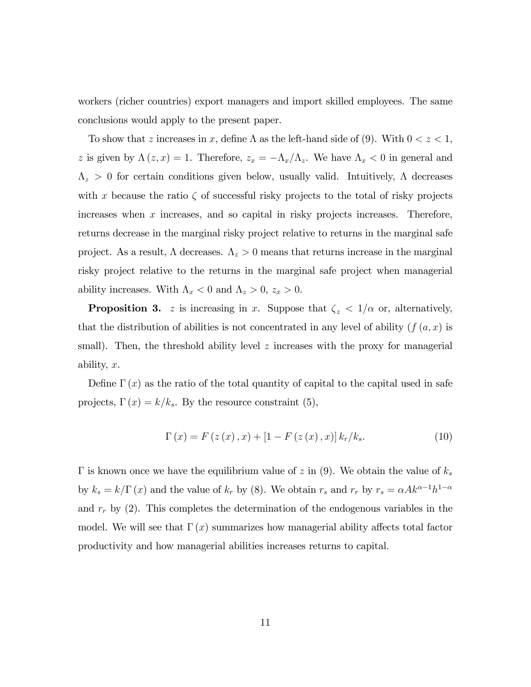workers (richer countries) export managers and import skilled employees. The same conclusions would apply to the present paper.

To show that z increases in x, define  $\Lambda$  as the left-hand side of (9). With  $0 < z < 1$ , z is given by  $\Lambda(z, x) = 1$ . Therefore,  $z_x = -\Lambda_x/\Lambda_z$ . We have  $\Lambda_x < 0$  in general and  $\Lambda_z > 0$  for certain conditions given below, usually valid. Intuitively,  $\Lambda$  decreases with x because the ratio  $\zeta$  of successful risky projects to the total of risky projects increases when  $x$  increases, and so capital in risky projects increases. Therefore, returns decrease in the marginal risky project relative to returns in the marginal safe project. As a result,  $\Lambda$  decreases.  $\Lambda_z > 0$  means that returns increase in the marginal risky project relative to the returns in the marginal safe project when managerial ability increases. With  $\Lambda_x < 0$  and  $\Lambda_z > 0$ ,  $z_x > 0$ .

**Proposition 3.** z is increasing in x. Suppose that  $\zeta_z < 1/\alpha$  or, alternatively, that the distribution of abilities is not concentrated in any level of ability  $(f(a, x))$  is small). Then, the threshold ability level  $z$  increases with the proxy for managerial ability, x.

Define  $\Gamma(x)$  as the ratio of the total quantity of capital to the capital used in safe projects,  $\Gamma(x) = k/k_s$ . By the resource constraint (5),

$$
\Gamma(x) = F(z(x), x) + [1 - F(z(x), x)] k_r / k_s.
$$
 (10)

 $\Gamma$  is known once we have the equilibrium value of z in (9). We obtain the value of  $k_s$ by  $k_s = k/\Gamma(x)$  and the value of  $k_r$  by (8). We obtain  $r_s$  and  $r_r$  by  $r_s = \alpha Ak^{\alpha-1}h^{1-\alpha}$ and  $r_r$  by (2). This completes the determination of the endogenous variables in the model. We will see that  $\Gamma(x)$  summarizes how managerial ability affects total factor productivity and how managerial abilities increases returns to capital.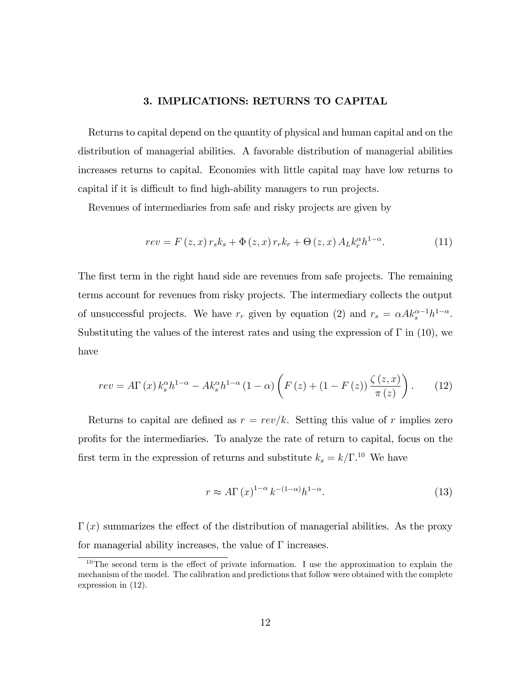## 3. IMPLICATIONS: RETURNS TO CAPITAL

Returns to capital depend on the quantity of physical and human capital and on the distribution of managerial abilities. A favorable distribution of managerial abilities increases returns to capital. Economies with little capital may have low returns to capital if it is difficult to find high-ability managers to run projects.

Revenues of intermediaries from safe and risky projects are given by

$$
rev = F(z, x) r_s k_s + \Phi(z, x) r_r k_r + \Theta(z, x) A_L k_r^{\alpha} h^{1-\alpha}.
$$
 (11)

The first term in the right hand side are revenues from safe projects. The remaining terms account for revenues from risky projects. The intermediary collects the output of unsuccessful projects. We have  $r_r$  given by equation (2) and  $r_s = \alpha A k_s^{\alpha-1} h^{1-\alpha}$ . Substituting the values of the interest rates and using the expression of  $\Gamma$  in (10), we have

$$
rev = A\Gamma(x) k_s^{\alpha} h^{1-\alpha} - Ak_s^{\alpha} h^{1-\alpha} (1-\alpha) \left( F(z) + (1 - F(z)) \frac{\zeta(z, x)}{\pi(z)} \right). \tag{12}
$$

Returns to capital are defined as  $r = rev/k$ . Setting this value of r implies zero profits for the intermediaries. To analyze the rate of return to capital, focus on the first term in the expression of returns and substitute  $k_s = k/\Gamma^{10}$ . We have

$$
r \approx A\Gamma(x)^{1-\alpha} k^{-(1-\alpha)} h^{1-\alpha}.
$$
 (13)

 $\Gamma(x)$  summarizes the effect of the distribution of managerial abilities. As the proxy for managerial ability increases, the value of  $\Gamma$  increases.

<sup>&</sup>lt;sup>10</sup>The second term is the effect of private information. I use the approximation to explain the mechanism of the model. The calibration and predictions that follow were obtained with the complete expression in (12).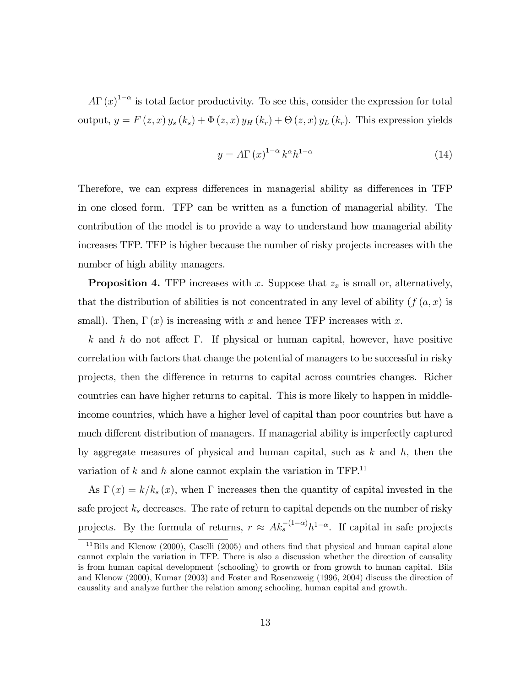$A\Gamma(x)^{1-\alpha}$  is total factor productivity. To see this, consider the expression for total output,  $y = F(z, x) y_s (k_s) + \Phi(z, x) y_H (k_r) + \Theta(z, x) y_L (k_r)$ . This expression yields

$$
y = A\Gamma(x)^{1-\alpha} k^{\alpha} h^{1-\alpha}
$$
 (14)

Therefore, we can express differences in managerial ability as differences in TFP in one closed form. TFP can be written as a function of managerial ability. The contribution of the model is to provide a way to understand how managerial ability increases TFP. TFP is higher because the number of risky projects increases with the number of high ability managers.

**Proposition 4.** TFP increases with x. Suppose that  $z_x$  is small or, alternatively, that the distribution of abilities is not concentrated in any level of ability  $(f(a, x))$  is small). Then,  $\Gamma(x)$  is increasing with x and hence TFP increases with x.

k and h do not affect  $\Gamma$ . If physical or human capital, however, have positive correlation with factors that change the potential of managers to be successful in risky projects, then the difference in returns to capital across countries changes. Richer countries can have higher returns to capital. This is more likely to happen in middleincome countries, which have a higher level of capital than poor countries but have a much different distribution of managers. If managerial ability is imperfectly captured by aggregate measures of physical and human capital, such as  $k$  and  $h$ , then the variation of  $k$  and  $h$  alone cannot explain the variation in TFP.<sup>11</sup>

As  $\Gamma(x) = k/k_s(x)$ , when  $\Gamma$  increases then the quantity of capital invested in the safe project  $k<sub>s</sub>$  decreases. The rate of return to capital depends on the number of risky projects. By the formula of returns,  $r \approx Ak_s^{-(1-\alpha)}h^{1-\alpha}$ . If capital in safe projects

 $11$ Bils and Klenow (2000), Caselli (2005) and others find that physical and human capital alone cannot explain the variation in TFP. There is also a discussion whether the direction of causality is from human capital development (schooling) to growth or from growth to human capital. Bils and Klenow (2000), Kumar (2003) and Foster and Rosenzweig (1996, 2004) discuss the direction of causality and analyze further the relation among schooling, human capital and growth.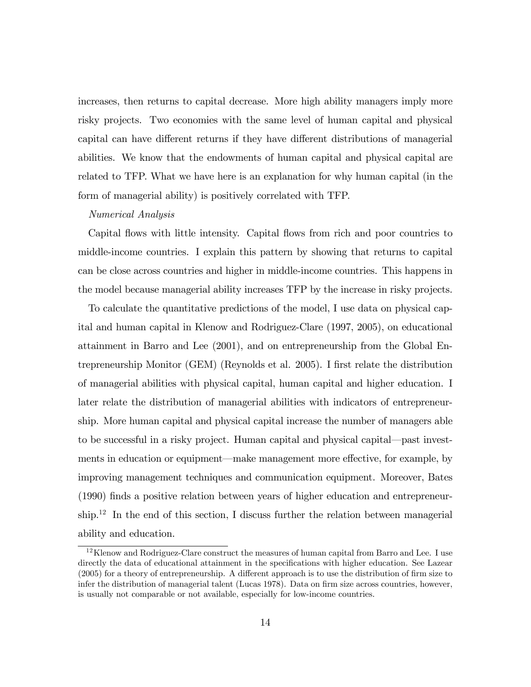increases, then returns to capital decrease. More high ability managers imply more risky projects. Two economies with the same level of human capital and physical capital can have different returns if they have different distributions of managerial abilities. We know that the endowments of human capital and physical capital are related to TFP. What we have here is an explanation for why human capital (in the form of managerial ability) is positively correlated with TFP.

#### Numerical Analysis

Capital áows with little intensity. Capital áows from rich and poor countries to middle-income countries. I explain this pattern by showing that returns to capital can be close across countries and higher in middle-income countries. This happens in the model because managerial ability increases TFP by the increase in risky projects.

To calculate the quantitative predictions of the model, I use data on physical capital and human capital in Klenow and Rodriguez-Clare (1997, 2005), on educational attainment in Barro and Lee (2001), and on entrepreneurship from the Global Entrepreneurship Monitor (GEM) (Reynolds et al. 2005). I first relate the distribution of managerial abilities with physical capital, human capital and higher education. I later relate the distribution of managerial abilities with indicators of entrepreneurship. More human capital and physical capital increase the number of managers able to be successful in a risky project. Human capital and physical capital—past investments in education or equipment—make management more effective, for example, by improving management techniques and communication equipment. Moreover, Bates (1990) Önds a positive relation between years of higher education and entrepreneur- $\sinh^{12}$  In the end of this section, I discuss further the relation between managerial ability and education.

<sup>12</sup>Klenow and Rodriguez-Clare construct the measures of human capital from Barro and Lee. I use directly the data of educational attainment in the specifications with higher education. See Lazear  $(2005)$  for a theory of entrepreneurship. A different approach is to use the distribution of firm size to infer the distribution of managerial talent (Lucas 1978). Data on firm size across countries, however, is usually not comparable or not available, especially for low-income countries.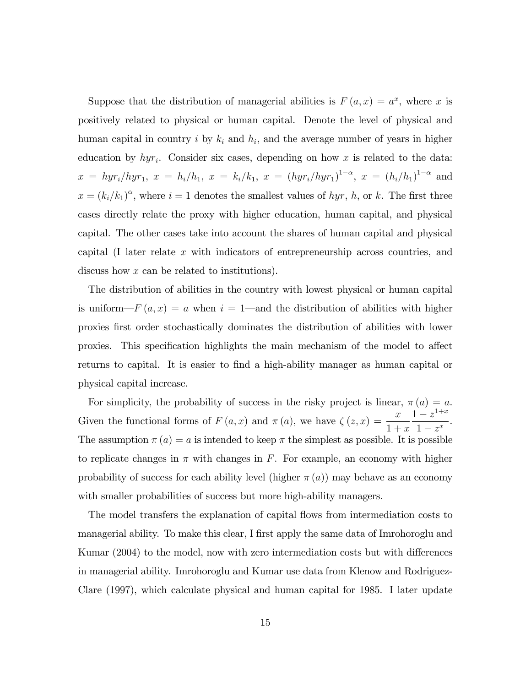Suppose that the distribution of managerial abilities is  $F(a,x) = a^x$ , where x is positively related to physical or human capital. Denote the level of physical and human capital in country i by  $k_i$  and  $h_i$ , and the average number of years in higher education by  $hyr_i$ . Consider six cases, depending on how x is related to the data:  $x = hyr_i/hyr_1, x = h_i/h_1, x = k_i/k_1, x = (hyr_i/hyr_1)^{1-\alpha}, x = (h_i/h_1)^{1-\alpha}$  and  $x = (k_i/k_1)^\alpha$ , where  $i = 1$  denotes the smallest values of hyr, h, or k. The first three cases directly relate the proxy with higher education, human capital, and physical capital. The other cases take into account the shares of human capital and physical capital (I later relate x with indicators of entrepreneurship across countries, and discuss how x can be related to institutions).

The distribution of abilities in the country with lowest physical or human capital is uniform— $F(a, x) = a$  when  $i = 1$ —and the distribution of abilities with higher proxies Örst order stochastically dominates the distribution of abilities with lower proxies. This specification highlights the main mechanism of the model to affect returns to capital. It is easier to find a high-ability manager as human capital or physical capital increase.

For simplicity, the probability of success in the risky project is linear,  $\pi(a) = a$ . Given the functional forms of  $F(a, x)$  and  $\pi(a)$ , we have  $\zeta(z, x) = \frac{x}{1+x}$  $1 + x$  $\frac{1-z^{1+x}}{x}$  $\frac{z}{1-z^x}$ . The assumption  $\pi(a) = a$  is intended to keep  $\pi$  the simplest as possible. It is possible to replicate changes in  $\pi$  with changes in F. For example, an economy with higher probability of success for each ability level (higher  $\pi(a)$ ) may behave as an economy with smaller probabilities of success but more high-ability managers.

The model transfers the explanation of capital áows from intermediation costs to managerial ability. To make this clear, I first apply the same data of Imrohoroglu and Kumar (2004) to the model, now with zero intermediation costs but with differences in managerial ability. Imrohoroglu and Kumar use data from Klenow and Rodriguez-Clare (1997), which calculate physical and human capital for 1985. I later update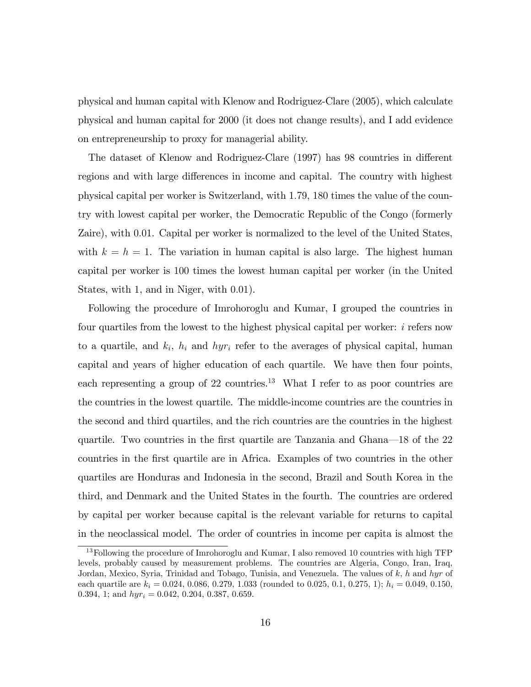physical and human capital with Klenow and Rodriguez-Clare (2005), which calculate physical and human capital for 2000 (it does not change results), and I add evidence on entrepreneurship to proxy for managerial ability.

The dataset of Klenow and Rodriguez-Clare (1997) has 98 countries in different regions and with large differences in income and capital. The country with highest physical capital per worker is Switzerland, with 1:79, 180 times the value of the country with lowest capital per worker, the Democratic Republic of the Congo (formerly Zaire), with 0:01. Capital per worker is normalized to the level of the United States, with  $k = h = 1$ . The variation in human capital is also large. The highest human capital per worker is 100 times the lowest human capital per worker (in the United States, with 1, and in Niger, with 0.01).

Following the procedure of Imrohoroglu and Kumar, I grouped the countries in four quartiles from the lowest to the highest physical capital per worker: i refers now to a quartile, and  $k_i$ ,  $h_i$  and  $hyr_i$  refer to the averages of physical capital, human capital and years of higher education of each quartile. We have then four points, each representing a group of 22 countries.<sup>13</sup> What I refer to as poor countries are the countries in the lowest quartile. The middle-income countries are the countries in the second and third quartiles, and the rich countries are the countries in the highest quartile. Two countries in the first quartile are Tanzania and Ghana—18 of the 22 countries in the Örst quartile are in Africa. Examples of two countries in the other quartiles are Honduras and Indonesia in the second, Brazil and South Korea in the third, and Denmark and the United States in the fourth. The countries are ordered by capital per worker because capital is the relevant variable for returns to capital in the neoclassical model. The order of countries in income per capita is almost the

<sup>&</sup>lt;sup>13</sup>Following the procedure of Imrohoroglu and Kumar, I also removed 10 countries with high TFP levels, probably caused by measurement problems. The countries are Algeria, Congo, Iran, Iraq, Jordan, Mexico, Syria, Trinidad and Tobago, Tunisia, and Venezuela. The values of k, h and hyr of each quartile are  $k_i = 0.024, 0.086, 0.279, 1.033$  (rounded to 0.025, 0.1, 0.275, 1);  $h_i = 0.049, 0.150$ , 0.394, 1; and  $hyr_i = 0.042, 0.204, 0.387, 0.659$ .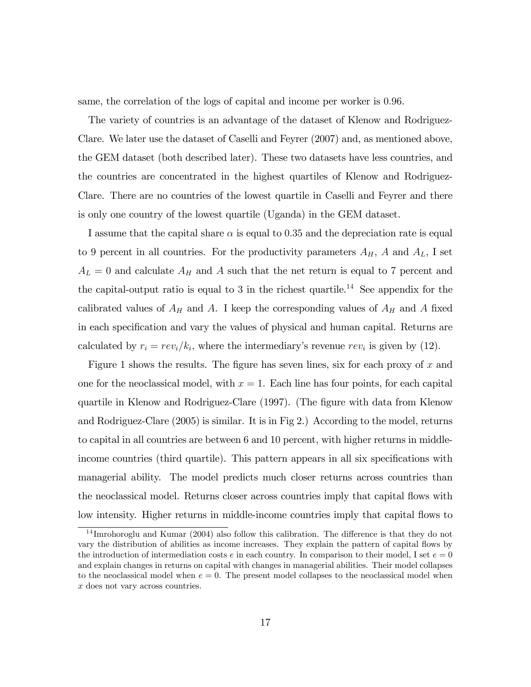same, the correlation of the logs of capital and income per worker is 0:96.

The variety of countries is an advantage of the dataset of Klenow and Rodriguez-Clare. We later use the dataset of Caselli and Feyrer (2007) and, as mentioned above, the GEM dataset (both described later). These two datasets have less countries, and the countries are concentrated in the highest quartiles of Klenow and Rodriguez-Clare. There are no countries of the lowest quartile in Caselli and Feyrer and there is only one country of the lowest quartile (Uganda) in the GEM dataset.

I assume that the capital share  $\alpha$  is equal to 0.35 and the depreciation rate is equal to 9 percent in all countries. For the productivity parameters  $A_H$ , A and  $A_L$ , I set  $A_L = 0$  and calculate  $A_H$  and A such that the net return is equal to 7 percent and the capital-output ratio is equal to 3 in the richest quartile.<sup>14</sup> See appendix for the calibrated values of  $A_H$  and A. I keep the corresponding values of  $A_H$  and A fixed in each specification and vary the values of physical and human capital. Returns are calculated by  $r_i = rev_i/k_i$ , where the intermediary's revenue  $rev_i$  is given by (12).

Figure 1 shows the results. The figure has seven lines, six for each proxy of  $x$  and one for the neoclassical model, with  $x = 1$ . Each line has four points, for each capital quartile in Klenow and Rodriguez-Clare (1997). (The Ögure with data from Klenow and Rodriguez-Clare (2005) is similar. It is in Fig 2.) According to the model, returns to capital in all countries are between 6 and 10 percent, with higher returns in middleincome countries (third quartile). This pattern appears in all six specifications with managerial ability. The model predicts much closer returns across countries than the neoclassical model. Returns closer across countries imply that capital áows with low intensity. Higher returns in middle-income countries imply that capital flows to

 $14$  Imrohoroglu and Kumar (2004) also follow this calibration. The difference is that they do not vary the distribution of abilities as income increases. They explain the pattern of capital áows by the introduction of intermediation costs e in each country. In comparison to their model, I set  $e = 0$ and explain changes in returns on capital with changes in managerial abilities. Their model collapses to the neoclassical model when  $e = 0$ . The present model collapses to the neoclassical model when x does not vary across countries.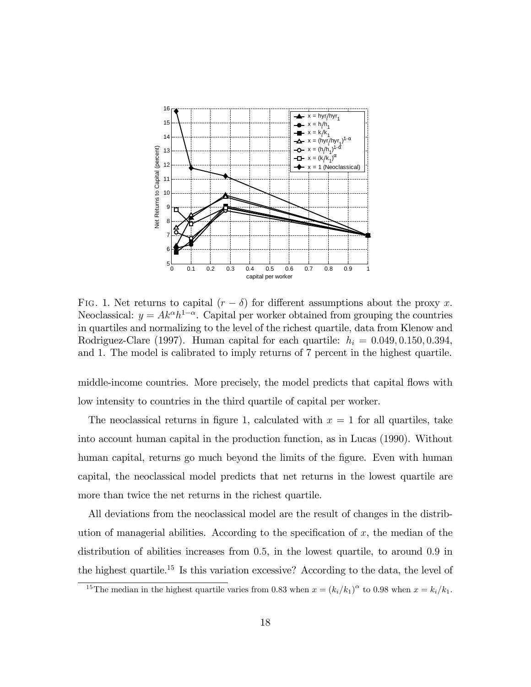

FIG. 1. Net returns to capital  $(r - \delta)$  for different assumptions about the proxy x. Neoclassical:  $y = Ak^{\alpha}h^{1-\alpha}$ . Capital per worker obtained from grouping the countries in quartiles and normalizing to the level of the richest quartile, data from Klenow and Rodriguez-Clare (1997). Human capital for each quartile:  $h_i = 0.049, 0.150, 0.394,$ and 1. The model is calibrated to imply returns of 7 percent in the highest quartile.

middle-income countries. More precisely, the model predicts that capital flows with low intensity to countries in the third quartile of capital per worker.

The neoclassical returns in figure 1, calculated with  $x = 1$  for all quartiles, take into account human capital in the production function, as in Lucas (1990). Without human capital, returns go much beyond the limits of the figure. Even with human capital, the neoclassical model predicts that net returns in the lowest quartile are more than twice the net returns in the richest quartile.

All deviations from the neoclassical model are the result of changes in the distribution of managerial abilities. According to the specification of  $x$ , the median of the distribution of abilities increases from 0:5, in the lowest quartile, to around 0:9 in the highest quartile.<sup>15</sup> Is this variation excessive? According to the data, the level of

<sup>&</sup>lt;sup>15</sup>The median in the highest quartile varies from 0.83 when  $x = (k_i/k_1)^{\alpha}$  to 0.98 when  $x = k_i/k_1$ .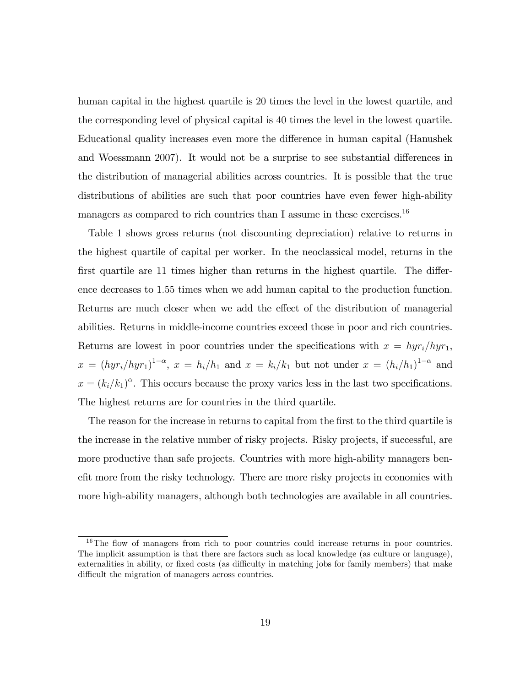human capital in the highest quartile is 20 times the level in the lowest quartile, and the corresponding level of physical capital is 40 times the level in the lowest quartile. Educational quality increases even more the difference in human capital (Hanushek and Woessmann 2007). It would not be a surprise to see substantial differences in the distribution of managerial abilities across countries. It is possible that the true distributions of abilities are such that poor countries have even fewer high-ability managers as compared to rich countries than I assume in these exercises.<sup>16</sup>

Table 1 shows gross returns (not discounting depreciation) relative to returns in the highest quartile of capital per worker. In the neoclassical model, returns in the first quartile are  $11$  times higher than returns in the highest quartile. The difference decreases to 1:55 times when we add human capital to the production function. Returns are much closer when we add the effect of the distribution of managerial abilities. Returns in middle-income countries exceed those in poor and rich countries. Returns are lowest in poor countries under the specifications with  $x = hyr_i/hyr_1$ ,  $x = (hyr_i/hyr_1)^{1-\alpha}, x = h_i/h_1$  and  $x = k_i/k_1$  but not under  $x = (h_i/h_1)^{1-\alpha}$  and  $x = (k_i/k_1)^\alpha$ . This occurs because the proxy varies less in the last two specifications. The highest returns are for countries in the third quartile.

The reason for the increase in returns to capital from the first to the third quartile is the increase in the relative number of risky projects. Risky projects, if successful, are more productive than safe projects. Countries with more high-ability managers benefit more from the risky technology. There are more risky projects in economies with more high-ability managers, although both technologies are available in all countries.

 $16$ The flow of managers from rich to poor countries could increase returns in poor countries. The implicit assumption is that there are factors such as local knowledge (as culture or language), externalities in ability, or fixed costs (as difficulty in matching jobs for family members) that make difficult the migration of managers across countries.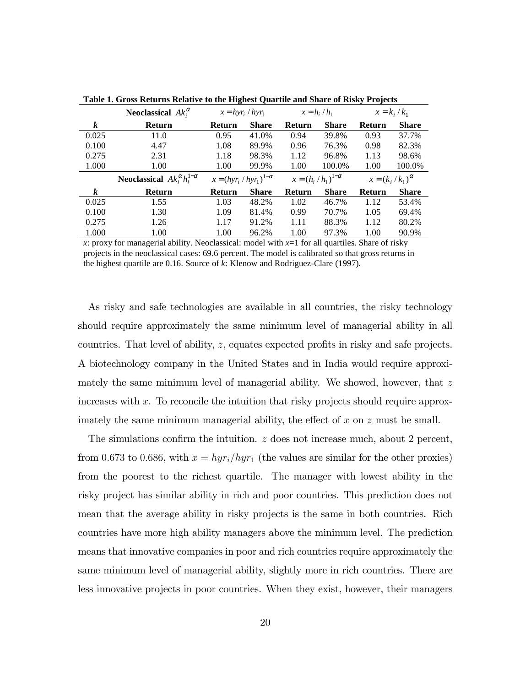|                  | Neoclassical $Ak_i^{\alpha}$                      |                                  | $x = hyr_i / hyr_1$ |               | $x = h_i / h_1$              | $x = k_i / k_1$            |              |
|------------------|---------------------------------------------------|----------------------------------|---------------------|---------------|------------------------------|----------------------------|--------------|
| $\boldsymbol{k}$ | <b>Return</b>                                     | Return                           | <b>Share</b>        | <b>Return</b> | <b>Share</b>                 | <b>Return</b>              | <b>Share</b> |
| 0.025            | 11.0                                              | 0.95                             | 41.0%               | 0.94          | 39.8%                        | 0.93                       | 37.7%        |
| 0.100            | 4.47                                              | 1.08                             | 89.9%               | 0.96          | 76.3%                        | 0.98                       | 82.3%        |
| 0.275            | 2.31                                              | 1.18                             | 98.3%               | 1.12          | 96.8%                        | 1.13                       | 98.6%        |
| 1.000            | 1.00                                              | 1.00                             | 99.9%               | 1.00          | 100.0%                       | 1.00                       | 100.0%       |
|                  |                                                   |                                  |                     |               |                              |                            |              |
|                  | <b>Neoclassical</b> $Ak_i^{\alpha}h_i^{1-\alpha}$ | $x = (hyr_i / hyr_1)^{1-\alpha}$ |                     |               | $x = (h_i / h_1)^{1-\alpha}$ | $x = (k_i / k_1)^{\alpha}$ |              |
| $\boldsymbol{k}$ | <b>Return</b>                                     | Return                           | <b>Share</b>        | Return        | <b>Share</b>                 | Return                     | <b>Share</b> |
| 0.025            | 1.55                                              | 1.03                             | 48.2%               | 1.02          | 46.7%                        | 1.12                       | 53.4%        |
| 0.100            | 1.30                                              | 1.09                             | 81.4%               | 0.99          | 70.7%                        | 1.05                       | 69.4%        |
| 0.275            | 1.26                                              | 1.17                             | 91.2%               | 1.11          | 88.3%                        | 1.12                       | 80.2%        |

**Table 1. Gross Returns Relative to the Highest Quartile and Share of Risky Projects**

*x*: proxy for managerial ability. Neoclassical: model with *x*=1 for all quartiles. Share of risky projects in the neoclassical cases: 69.6 percent. The model is calibrated so that gross returns in the highest quartile are 0.16. Source of *k*: Klenow and Rodriguez-Clare (1997).

As risky and safe technologies are available in all countries, the risky technology should require approximately the same minimum level of managerial ability in all countries. That level of ability,  $z$ , equates expected profits in risky and safe projects. A biotechnology company in the United States and in India would require approximately the same minimum level of managerial ability. We showed, however, that  $z$ increases with  $x$ . To reconcile the intuition that risky projects should require approximately the same minimum managerial ability, the effect of  $x$  on  $z$  must be small.

The simulations confirm the intuition.  $z$  does not increase much, about 2 percent, from 0.673 to 0.686, with  $x = hyr_i/hyr_1$  (the values are similar for the other proxies) from the poorest to the richest quartile. The manager with lowest ability in the risky project has similar ability in rich and poor countries. This prediction does not mean that the average ability in risky projects is the same in both countries. Rich countries have more high ability managers above the minimum level. The prediction means that innovative companies in poor and rich countries require approximately the same minimum level of managerial ability, slightly more in rich countries. There are less innovative projects in poor countries. When they exist, however, their managers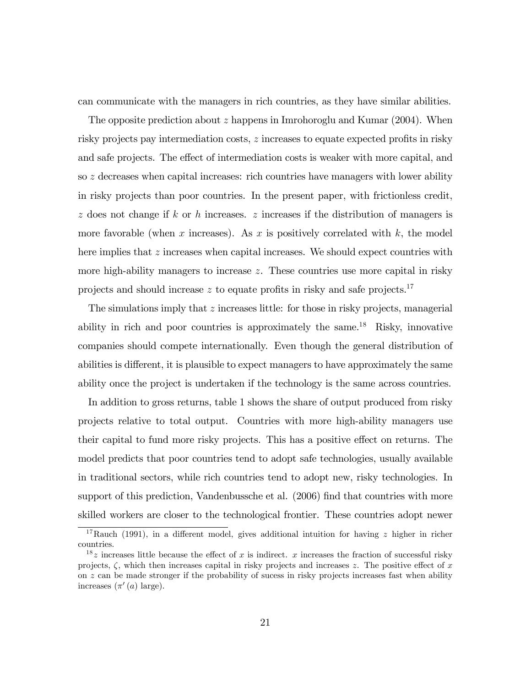can communicate with the managers in rich countries, as they have similar abilities.

The opposite prediction about z happens in Imrohoroglu and Kumar (2004). When risky projects pay intermediation costs,  $z$  increases to equate expected profits in risky and safe projects. The effect of intermediation costs is weaker with more capital, and so z decreases when capital increases: rich countries have managers with lower ability in risky projects than poor countries. In the present paper, with frictionless credit,  $z$  does not change if  $k$  or  $h$  increases.  $z$  increases if the distribution of managers is more favorable (when x increases). As x is positively correlated with  $k$ , the model here implies that  $z$  increases when capital increases. We should expect countries with more high-ability managers to increase  $z$ . These countries use more capital in risky projects and should increase  $z$  to equate profits in risky and safe projects.<sup>17</sup>

The simulations imply that  $z$  increases little: for those in risky projects, managerial ability in rich and poor countries is approximately the same.<sup>18</sup> Risky, innovative companies should compete internationally. Even though the general distribution of abilities is different, it is plausible to expect managers to have approximately the same ability once the project is undertaken if the technology is the same across countries.

In addition to gross returns, table 1 shows the share of output produced from risky projects relative to total output. Countries with more high-ability managers use their capital to fund more risky projects. This has a positive effect on returns. The model predicts that poor countries tend to adopt safe technologies, usually available in traditional sectors, while rich countries tend to adopt new, risky technologies. In support of this prediction, Vandenbussche et al. (2006) find that countries with more skilled workers are closer to the technological frontier. These countries adopt newer

<sup>&</sup>lt;sup>17</sup>Rauch (1991), in a different model, gives additional intuition for having z higher in richer countries.

<sup>&</sup>lt;sup>18</sup> z increases little because the effect of x is indirect. x increases the fraction of successful risky projects,  $\zeta$ , which then increases capital in risky projects and increases z. The positive effect of x on z can be made stronger if the probability of sucess in risky projects increases fast when ability increases  $(\pi'(a) \text{ large}).$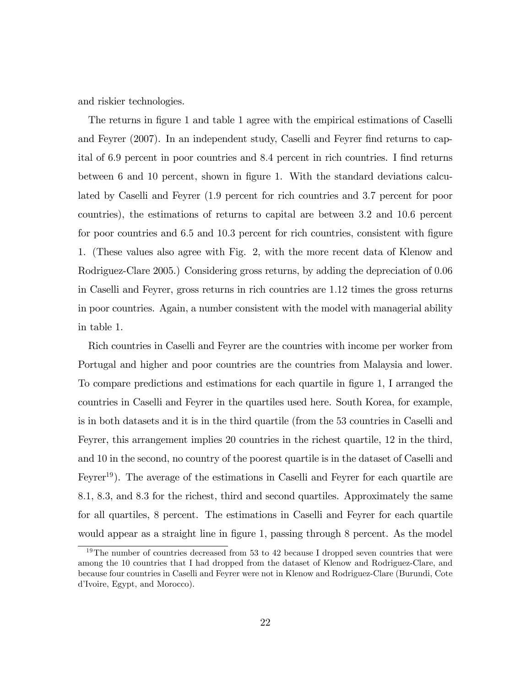and riskier technologies.

The returns in figure 1 and table 1 agree with the empirical estimations of Caselli and Feyrer (2007). In an independent study, Caselli and Feyrer find returns to capital of 6.9 percent in poor countries and 8.4 percent in rich countries. I find returns between 6 and 10 percent, shown in figure 1. With the standard deviations calculated by Caselli and Feyrer (1:9 percent for rich countries and 3:7 percent for poor countries), the estimations of returns to capital are between 3:2 and 10:6 percent for poor countries and 6.5 and 10.3 percent for rich countries, consistent with figure 1. (These values also agree with Fig. 2, with the more recent data of Klenow and Rodriguez-Clare 2005.) Considering gross returns, by adding the depreciation of 0:06 in Caselli and Feyrer, gross returns in rich countries are 1:12 times the gross returns in poor countries. Again, a number consistent with the model with managerial ability in table 1.

Rich countries in Caselli and Feyrer are the countries with income per worker from Portugal and higher and poor countries are the countries from Malaysia and lower. To compare predictions and estimations for each quartile in figure 1, I arranged the countries in Caselli and Feyrer in the quartiles used here. South Korea, for example, is in both datasets and it is in the third quartile (from the 53 countries in Caselli and Feyrer, this arrangement implies 20 countries in the richest quartile, 12 in the third, and 10 in the second, no country of the poorest quartile is in the dataset of Caselli and Feyrer<sup>19</sup>). The average of the estimations in Caselli and Feyrer for each quartile are 8:1, 8:3, and 8:3 for the richest, third and second quartiles. Approximately the same for all quartiles, 8 percent. The estimations in Caselli and Feyrer for each quartile would appear as a straight line in figure 1, passing through 8 percent. As the model

<sup>&</sup>lt;sup>19</sup>The number of countries decreased from 53 to 42 because I dropped seven countries that were among the 10 countries that I had dropped from the dataset of Klenow and Rodriguez-Clare, and because four countries in Caselli and Feyrer were not in Klenow and Rodriguez-Clare (Burundi, Cote d'Ivoire, Egypt, and Morocco).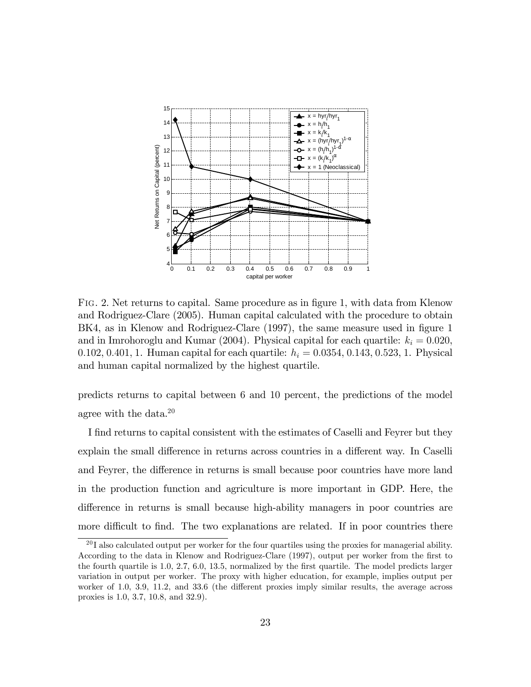

FIG. 2. Net returns to capital. Same procedure as in figure 1, with data from Klenow and Rodriguez-Clare (2005). Human capital calculated with the procedure to obtain BK4, as in Klenow and Rodriguez-Clare (1997), the same measure used in figure 1 and in Imrohoroglu and Kumar (2004). Physical capital for each quartile:  $k_i = 0.020$ , 0.102, 0.401, 1. Human capital for each quartile:  $h_i = 0.0354, 0.143, 0.523, 1$ . Physical and human capital normalized by the highest quartile.

predicts returns to capital between 6 and 10 percent, the predictions of the model agree with the data.<sup>20</sup>

I find returns to capital consistent with the estimates of Caselli and Feyrer but they explain the small difference in returns across countries in a different way. In Caselli and Feyrer, the difference in returns is small because poor countries have more land in the production function and agriculture is more important in GDP. Here, the difference in returns is small because high-ability managers in poor countries are more difficult to find. The two explanations are related. If in poor countries there

 $^{20}$ I also calculated output per worker for the four quartiles using the proxies for managerial ability. According to the data in Klenow and Rodriguez-Clare (1997), output per worker from the first to the fourth quartile is  $1.0, 2.7, 6.0, 13.5$ , normalized by the first quartile. The model predicts larger variation in output per worker. The proxy with higher education, for example, implies output per worker of  $1.0, 3.9, 11.2,$  and  $33.6$  (the different proxies imply similar results, the average across proxies is 1:0, 3:7, 10:8, and 32:9).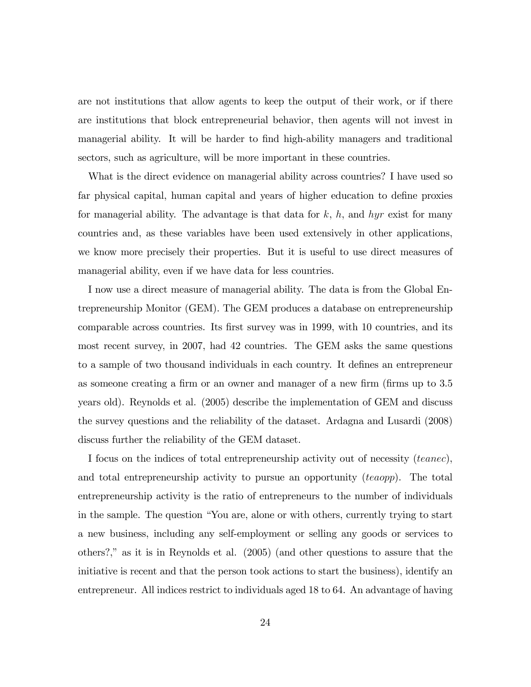are not institutions that allow agents to keep the output of their work, or if there are institutions that block entrepreneurial behavior, then agents will not invest in managerial ability. It will be harder to find high-ability managers and traditional sectors, such as agriculture, will be more important in these countries.

What is the direct evidence on managerial ability across countries? I have used so far physical capital, human capital and years of higher education to define proxies for managerial ability. The advantage is that data for  $k$ ,  $h$ , and  $hyr$  exist for many countries and, as these variables have been used extensively in other applications, we know more precisely their properties. But it is useful to use direct measures of managerial ability, even if we have data for less countries.

I now use a direct measure of managerial ability. The data is from the Global Entrepreneurship Monitor (GEM). The GEM produces a database on entrepreneurship comparable across countries. Its first survey was in 1999, with 10 countries, and its most recent survey, in 2007, had 42 countries. The GEM asks the same questions to a sample of two thousand individuals in each country. It defines an entrepreneur as someone creating a firm or an owner and manager of a new firm (firms up to 3.5) years old). Reynolds et al. (2005) describe the implementation of GEM and discuss the survey questions and the reliability of the dataset. Ardagna and Lusardi (2008) discuss further the reliability of the GEM dataset.

I focus on the indices of total entrepreneurship activity out of necessity (teanec), and total entrepreneurship activity to pursue an opportunity (teaopp). The total entrepreneurship activity is the ratio of entrepreneurs to the number of individuals in the sample. The question "You are, alone or with others, currently trying to start a new business, including any self-employment or selling any goods or services to others?," as it is in Reynolds et al.  $(2005)$  (and other questions to assure that the initiative is recent and that the person took actions to start the business), identify an entrepreneur. All indices restrict to individuals aged 18 to 64. An advantage of having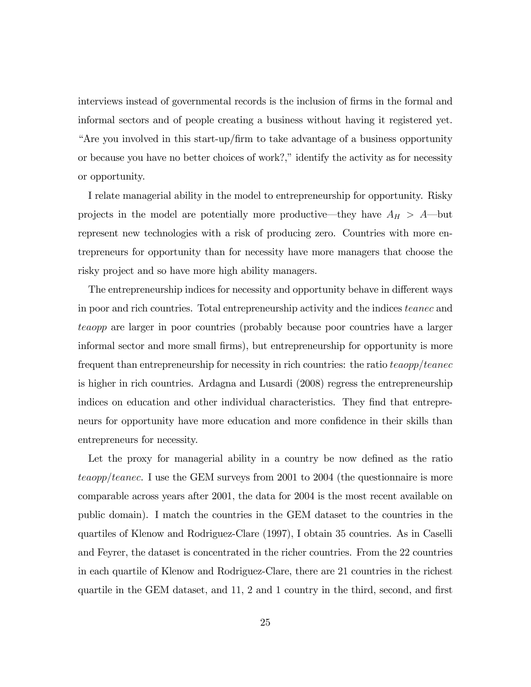interviews instead of governmental records is the inclusion of firms in the formal and informal sectors and of people creating a business without having it registered yet. "Are you involved in this start-up/firm to take advantage of a business opportunity or because you have no better choices of work?," identify the activity as for necessity or opportunity.

I relate managerial ability in the model to entrepreneurship for opportunity. Risky projects in the model are potentially more productive—they have  $A_H > A$ —but represent new technologies with a risk of producing zero. Countries with more entrepreneurs for opportunity than for necessity have more managers that choose the risky project and so have more high ability managers.

The entrepreneurship indices for necessity and opportunity behave in different ways in poor and rich countries. Total entrepreneurship activity and the indices teanec and teaopp are larger in poor countries (probably because poor countries have a larger informal sector and more small Örms), but entrepreneurship for opportunity is more frequent than entrepreneurship for necessity in rich countries: the ratio  $teaopp/teanec$ is higher in rich countries. Ardagna and Lusardi (2008) regress the entrepreneurship indices on education and other individual characteristics. They find that entrepreneurs for opportunity have more education and more confidence in their skills than entrepreneurs for necessity.

Let the proxy for managerial ability in a country be now defined as the ratio  $teaopp/teanec.$  I use the GEM surveys from 2001 to 2004 (the questionnaire is more comparable across years after 2001, the data for 2004 is the most recent available on public domain). I match the countries in the GEM dataset to the countries in the quartiles of Klenow and Rodriguez-Clare (1997), I obtain 35 countries. As in Caselli and Feyrer, the dataset is concentrated in the richer countries. From the 22 countries in each quartile of Klenow and Rodriguez-Clare, there are 21 countries in the richest quartile in the GEM dataset, and 11, 2 and 1 country in the third, second, and first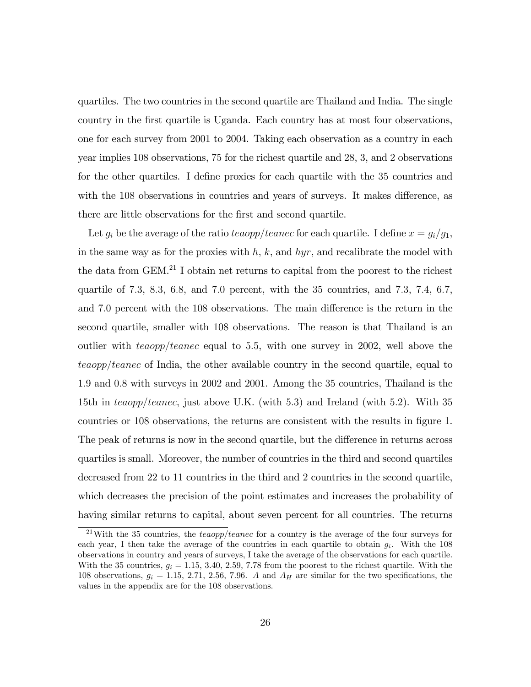quartiles. The two countries in the second quartile are Thailand and India. The single country in the Örst quartile is Uganda. Each country has at most four observations, one for each survey from 2001 to 2004. Taking each observation as a country in each year implies 108 observations, 75 for the richest quartile and 28, 3, and 2 observations for the other quartiles. I define proxies for each quartile with the 35 countries and with the 108 observations in countries and years of surveys. It makes difference, as there are little observations for the first and second quartile.

Let  $g_i$  be the average of the ratio teaopp/teanec for each quartile. I define  $x = g_i/g_1$ , in the same way as for the proxies with  $h, k$ , and  $hyr$ , and recalibrate the model with the data from GEM.<sup>21</sup> I obtain net returns to capital from the poorest to the richest quartile of 7:3, 8:3, 6:8, and 7:0 percent, with the 35 countries, and 7:3, 7:4, 6:7, and 7.0 percent with the 108 observations. The main difference is the return in the second quartile, smaller with 108 observations. The reason is that Thailand is an outlier with  $teaopp/teanec$  equal to 5.5, with one survey in 2002, well above the  $teaopp/teance$  of India, the other available country in the second quartile, equal to 1:9 and 0:8 with surveys in 2002 and 2001. Among the 35 countries, Thailand is the 15th in teaopp/teanec, just above U.K. (with 5.3) and Ireland (with 5.2). With 35 countries or 108 observations, the returns are consistent with the results in figure 1. The peak of returns is now in the second quartile, but the difference in returns across quartiles is small. Moreover, the number of countries in the third and second quartiles decreased from 22 to 11 countries in the third and 2 countries in the second quartile, which decreases the precision of the point estimates and increases the probability of having similar returns to capital, about seven percent for all countries. The returns

<sup>&</sup>lt;sup>21</sup>With the 35 countries, the teaopp/teanec for a country is the average of the four surveys for each year, I then take the average of the countries in each quartile to obtain  $g_i$ . With the 108 observations in country and years of surveys, I take the average of the observations for each quartile. With the 35 countries,  $g_i = 1.15, 3.40, 2.59, 7.78$  from the poorest to the richest quartile. With the 108 observations,  $g_i = 1.15, 2.71, 2.56, 7.96$ . A and  $A_H$  are similar for the two specifications, the values in the appendix are for the 108 observations.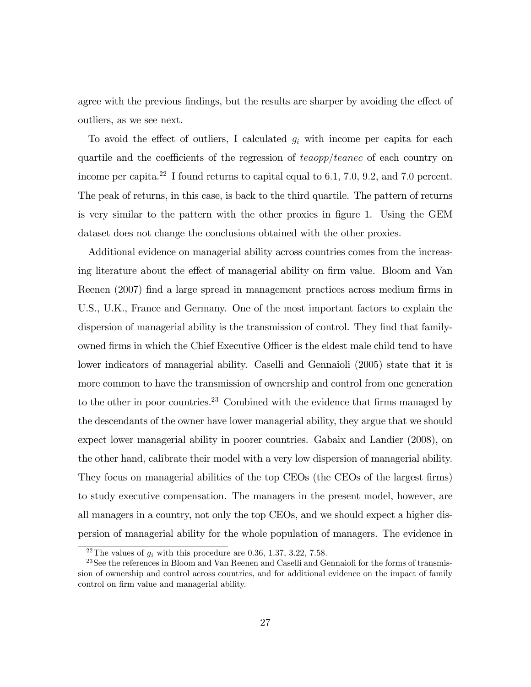agree with the previous findings, but the results are sharper by avoiding the effect of outliers, as we see next.

To avoid the effect of outliers, I calculated  $g_i$  with income per capita for each quartile and the coefficients of the regression of  $teaopp/teanec$  of each country on income per capita.<sup>22</sup> I found returns to capital equal to 6.1, 7.0, 9.2, and 7.0 percent. The peak of returns, in this case, is back to the third quartile. The pattern of returns is very similar to the pattern with the other proxies in figure 1. Using the GEM dataset does not change the conclusions obtained with the other proxies.

Additional evidence on managerial ability across countries comes from the increasing literature about the effect of managerial ability on firm value. Bloom and Van Reenen (2007) find a large spread in management practices across medium firms in U.S., U.K., France and Germany. One of the most important factors to explain the dispersion of managerial ability is the transmission of control. They find that familyowned firms in which the Chief Executive Officer is the eldest male child tend to have lower indicators of managerial ability. Caselli and Gennaioli (2005) state that it is more common to have the transmission of ownership and control from one generation to the other in poor countries.<sup>23</sup> Combined with the evidence that firms managed by the descendants of the owner have lower managerial ability, they argue that we should expect lower managerial ability in poorer countries. Gabaix and Landier (2008), on the other hand, calibrate their model with a very low dispersion of managerial ability. They focus on managerial abilities of the top CEOs (the CEOs of the largest firms) to study executive compensation. The managers in the present model, however, are all managers in a country, not only the top CEOs, and we should expect a higher dispersion of managerial ability for the whole population of managers. The evidence in

<sup>&</sup>lt;sup>22</sup>The values of  $g_i$  with this procedure are 0.36, 1.37, 3.22, 7.58.

<sup>&</sup>lt;sup>23</sup>See the references in Bloom and Van Reenen and Caselli and Gennaioli for the forms of transmission of ownership and control across countries, and for additional evidence on the impact of family control on firm value and managerial ability.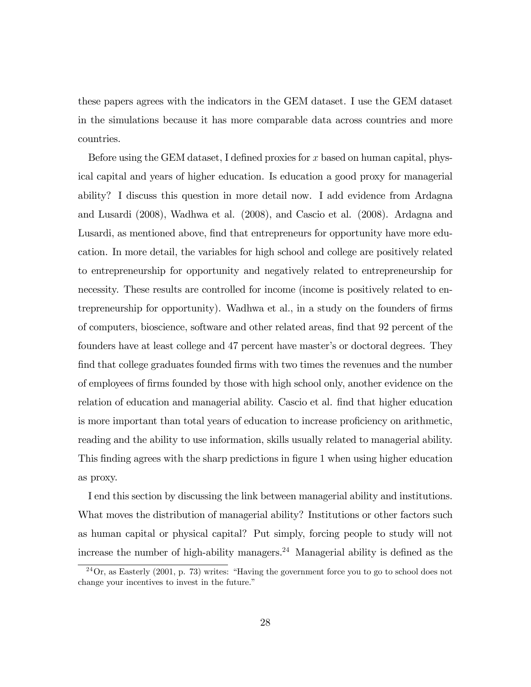these papers agrees with the indicators in the GEM dataset. I use the GEM dataset in the simulations because it has more comparable data across countries and more countries.

Before using the GEM dataset, I defined proxies for x based on human capital, physical capital and years of higher education. Is education a good proxy for managerial ability? I discuss this question in more detail now. I add evidence from Ardagna and Lusardi (2008), Wadhwa et al. (2008), and Cascio et al. (2008). Ardagna and Lusardi, as mentioned above, find that entrepreneurs for opportunity have more education. In more detail, the variables for high school and college are positively related to entrepreneurship for opportunity and negatively related to entrepreneurship for necessity. These results are controlled for income (income is positively related to entrepreneurship for opportunity). Wadhwa et al., in a study on the founders of firms of computers, bioscience, software and other related areas, Önd that 92 percent of the founders have at least college and 47 percent have master's or doctoral degrees. They find that college graduates founded firms with two times the revenues and the number of employees of Örms founded by those with high school only, another evidence on the relation of education and managerial ability. Cascio et al. find that higher education is more important than total years of education to increase proficiency on arithmetic, reading and the ability to use information, skills usually related to managerial ability. This finding agrees with the sharp predictions in figure 1 when using higher education as proxy.

I end this section by discussing the link between managerial ability and institutions. What moves the distribution of managerial ability? Institutions or other factors such as human capital or physical capital? Put simply, forcing people to study will not increase the number of high-ability managers.<sup>24</sup> Managerial ability is defined as the

 $^{24}$ Or, as Easterly (2001, p. 73) writes: "Having the government force you to go to school does not change your incentives to invest in the future.<sup>"</sup>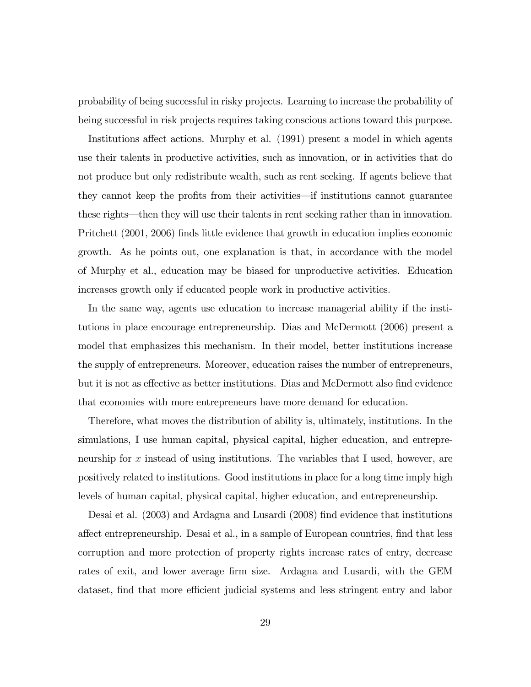probability of being successful in risky projects. Learning to increase the probability of being successful in risk projects requires taking conscious actions toward this purpose.

Institutions affect actions. Murphy et al. (1991) present a model in which agents use their talents in productive activities, such as innovation, or in activities that do not produce but only redistribute wealth, such as rent seeking. If agents believe that they cannot keep the profits from their activities—if institutions cannot guarantee these rights—then they will use their talents in rent seeking rather than in innovation. Pritchett (2001, 2006) finds little evidence that growth in education implies economic growth. As he points out, one explanation is that, in accordance with the model of Murphy et al., education may be biased for unproductive activities. Education increases growth only if educated people work in productive activities.

In the same way, agents use education to increase managerial ability if the institutions in place encourage entrepreneurship. Dias and McDermott (2006) present a model that emphasizes this mechanism. In their model, better institutions increase the supply of entrepreneurs. Moreover, education raises the number of entrepreneurs, but it is not as effective as better institutions. Dias and McDermott also find evidence that economies with more entrepreneurs have more demand for education.

Therefore, what moves the distribution of ability is, ultimately, institutions. In the simulations, I use human capital, physical capital, higher education, and entrepreneurship for x instead of using institutions. The variables that I used, however, are positively related to institutions. Good institutions in place for a long time imply high levels of human capital, physical capital, higher education, and entrepreneurship.

Desai et al. (2003) and Ardagna and Lusardi (2008) find evidence that institutions affect entrepreneurship. Desai et al., in a sample of European countries, find that less corruption and more protection of property rights increase rates of entry, decrease rates of exit, and lower average firm size. Ardagna and Lusardi, with the GEM dataset, find that more efficient judicial systems and less stringent entry and labor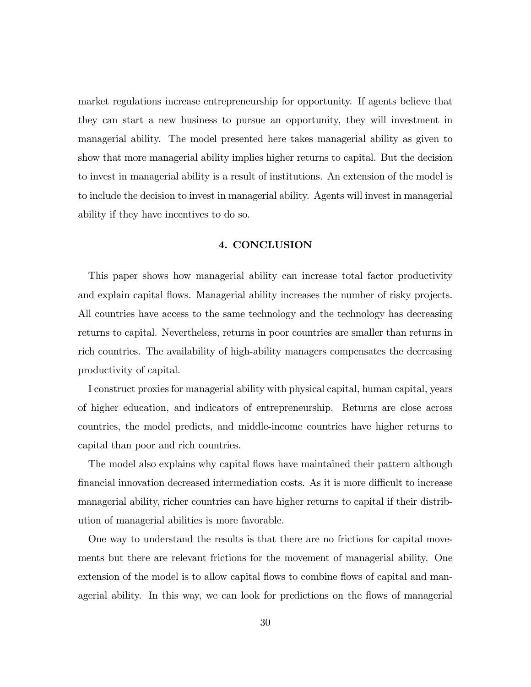market regulations increase entrepreneurship for opportunity. If agents believe that they can start a new business to pursue an opportunity, they will investment in managerial ability. The model presented here takes managerial ability as given to show that more managerial ability implies higher returns to capital. But the decision to invest in managerial ability is a result of institutions. An extension of the model is to include the decision to invest in managerial ability. Agents will invest in managerial ability if they have incentives to do so.

# 4. CONCLUSION

This paper shows how managerial ability can increase total factor productivity and explain capital flows. Managerial ability increases the number of risky projects. All countries have access to the same technology and the technology has decreasing returns to capital. Nevertheless, returns in poor countries are smaller than returns in rich countries. The availability of high-ability managers compensates the decreasing productivity of capital.

I construct proxies for managerial ability with physical capital, human capital, years of higher education, and indicators of entrepreneurship. Returns are close across countries, the model predicts, and middle-income countries have higher returns to capital than poor and rich countries.

The model also explains why capital flows have maintained their pattern although financial innovation decreased intermediation costs. As it is more difficult to increase managerial ability, richer countries can have higher returns to capital if their distribution of managerial abilities is more favorable.

One way to understand the results is that there are no frictions for capital movements but there are relevant frictions for the movement of managerial ability. One extension of the model is to allow capital flows to combine flows of capital and managerial ability. In this way, we can look for predictions on the flows of managerial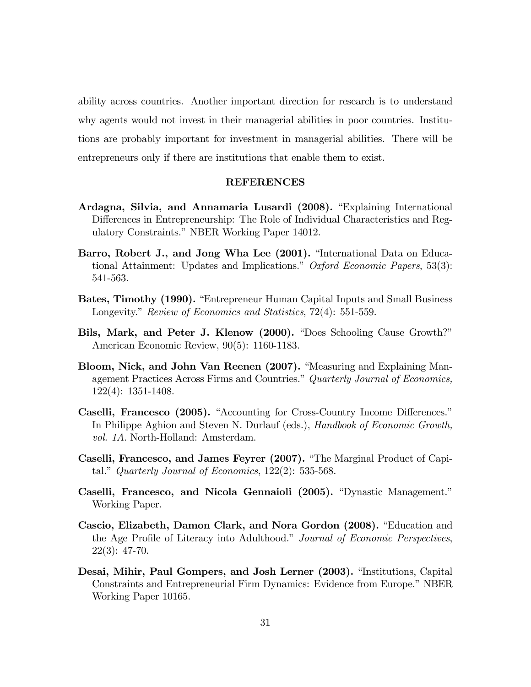ability across countries. Another important direction for research is to understand why agents would not invest in their managerial abilities in poor countries. Institutions are probably important for investment in managerial abilities. There will be entrepreneurs only if there are institutions that enable them to exist.

## REFERENCES

- Ardagna, Silvia, and Annamaria Lusardi (2008). "Explaining International Differences in Entrepreneurship: The Role of Individual Characteristics and Regulatory Constraints." NBER Working Paper 14012.
- Barro, Robert J., and Jong Wha Lee (2001). "International Data on Educational Attainment: Updates and Implications." Oxford Economic Papers,  $53(3)$ : 541-563.
- Bates, Timothy (1990). "Entrepreneur Human Capital Inputs and Small Business Longevity." Review of Economics and Statistics, 72(4): 551-559.
- Bils, Mark, and Peter J. Klenow (2000). "Does Schooling Cause Growth?" American Economic Review, 90(5): 1160-1183.
- Bloom, Nick, and John Van Reenen (2007). "Measuring and Explaining Management Practices Across Firms and Countries." Quarterly Journal of Economics, 122(4): 1351-1408.
- Caselli, Francesco (2005). "Accounting for Cross-Country Income Differences." In Philippe Aghion and Steven N. Durlauf (eds.), Handbook of Economic Growth, vol. 1A. North-Holland: Amsterdam.
- Caselli, Francesco, and James Feyrer (2007). "The Marginal Product of Capital." Quarterly Journal of Economics,  $122(2)$ : 535-568.
- Caselli, Francesco, and Nicola Gennaioli (2005). "Dynastic Management." Working Paper.
- Cascio, Elizabeth, Damon Clark, and Nora Gordon (2008). "Education and the Age Profile of Literacy into Adulthood." Journal of Economic Perspectives, 22(3): 47-70.
- Desai, Mihir, Paul Gompers, and Josh Lerner (2003). "Institutions, Capital Constraints and Entrepreneurial Firm Dynamics: Evidence from Europe." NBER Working Paper 10165.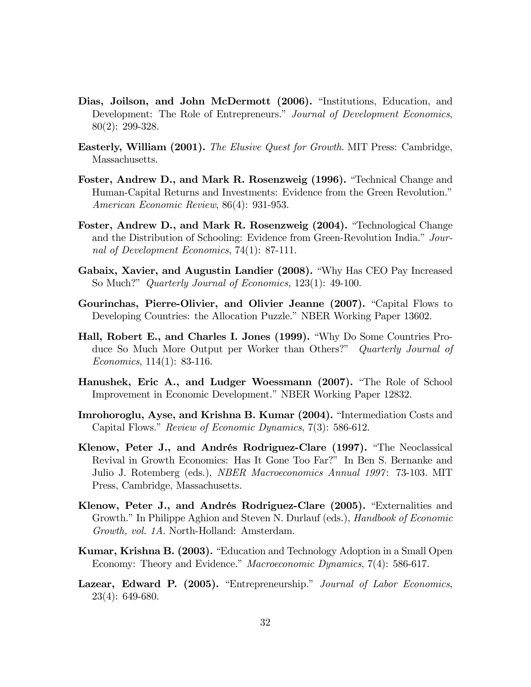- Dias, Joilson, and John McDermott (2006). "Institutions, Education, and Development: The Role of Entrepreneurs." Journal of Development Economics, 80(2): 299-328.
- **Easterly, William (2001).** The Elusive Quest for Growth. MIT Press: Cambridge, Massachusetts.
- Foster, Andrew D., and Mark R. Rosenzweig (1996). "Technical Change and Human-Capital Returns and Investments: Evidence from the Green Revolution.<sup>n</sup> American Economic Review, 86(4): 931-953.
- Foster, Andrew D., and Mark R. Rosenzweig (2004). "Technological Change and the Distribution of Schooling: Evidence from Green-Revolution India." Journal of Development Economics, 74(1): 87-111.
- Gabaix, Xavier, and Augustin Landier (2008). "Why Has CEO Pay Increased So Much?" *Quarterly Journal of Economics*, 123(1): 49-100.
- Gourinchas, Pierre-Olivier, and Olivier Jeanne (2007). "Capital Flows to Developing Countries: the Allocation Puzzle." NBER Working Paper 13602.
- Hall, Robert E., and Charles I. Jones (1999). "Why Do Some Countries Produce So Much More Output per Worker than Others?" Quarterly Journal of Economics, 114(1): 83-116.
- Hanushek, Eric A., and Ludger Woessmann (2007). "The Role of School Improvement in Economic Development." NBER Working Paper 12832.
- Imrohoroglu, Ayse, and Krishna B. Kumar (2004). "Intermediation Costs and Capital Flows." Review of Economic Dynamics, 7(3): 586-612.
- Klenow, Peter J., and Andrés Rodriguez-Clare (1997). "The Neoclassical Revival in Growth Economics: Has It Gone Too Far?î In Ben S. Bernanke and Julio J. Rotemberg (eds.), NBER Macroeconomics Annual 1997 : 73-103. MIT Press, Cambridge, Massachusetts.
- Klenow, Peter J., and Andrés Rodriguez-Clare (2005). "Externalities and Growth." In Philippe Aghion and Steven N. Durlauf (eds.), *Handbook of Economic* Growth, vol. 1A. North-Holland: Amsterdam.
- Kumar, Krishna B. (2003). "Education and Technology Adoption in a Small Open Economy: Theory and Evidence." Macroeconomic Dynamics, 7(4): 586-617.
- Lazear, Edward P. (2005). "Entrepreneurship." Journal of Labor Economics, 23(4): 649-680.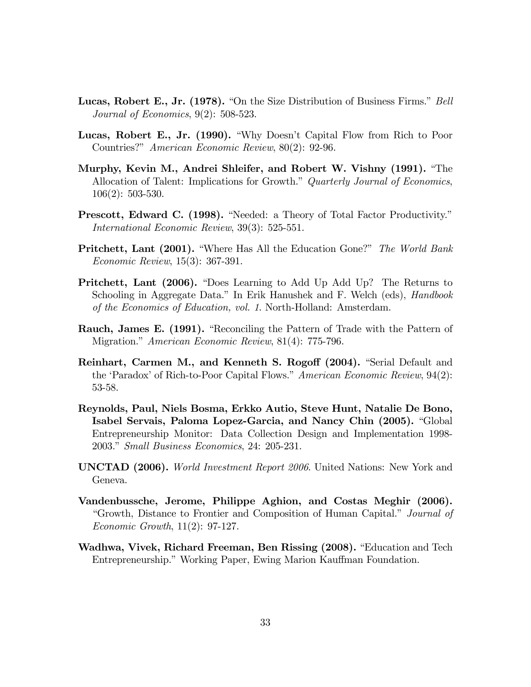- **Lucas, Robert E., Jr. (1978).** "On the Size Distribution of Business Firms." Bell Journal of Economics, 9(2): 508-523.
- Lucas, Robert E., Jr. (1990). "Why Doesn't Capital Flow from Rich to Poor Countries?î American Economic Review, 80(2): 92-96.
- Murphy, Kevin M., Andrei Shleifer, and Robert W. Vishny (1991). "The Allocation of Talent: Implications for Growth." Quarterly Journal of Economics, 106(2): 503-530.
- **Prescott, Edward C. (1998).** "Needed: a Theory of Total Factor Productivity." International Economic Review, 39(3): 525-551.
- **Pritchett, Lant (2001).** "Where Has All the Education Gone?" The World Bank Economic Review, 15(3): 367-391.
- **Pritchett, Lant (2006).** "Does Learning to Add Up Add Up? The Returns to Schooling in Aggregate Data." In Erik Hanushek and F. Welch (eds), *Handbook* of the Economics of Education, vol. 1. North-Holland: Amsterdam.
- Rauch, James E. (1991). "Reconciling the Pattern of Trade with the Pattern of Migration." American Economic Review, 81(4): 775-796.
- Reinhart, Carmen M., and Kenneth S. Rogoff (2004). "Serial Default and the 'Paradox' of Rich-to-Poor Capital Flows." American Economic Review,  $94(2)$ : 53-58.
- Reynolds, Paul, Niels Bosma, Erkko Autio, Steve Hunt, Natalie De Bono, Isabel Servais, Paloma Lopez-Garcia, and Nancy Chin (2005). "Global Entrepreneurship Monitor: Data Collection Design and Implementation 1998- 2003." Small Business Economics, 24: 205-231.
- UNCTAD (2006). World Investment Report 2006. United Nations: New York and Geneva.
- Vandenbussche, Jerome, Philippe Aghion, and Costas Meghir (2006). "Growth, Distance to Frontier and Composition of Human Capital." Journal of Economic Growth, 11(2): 97-127.
- Wadhwa, Vivek, Richard Freeman, Ben Rissing (2008). "Education and Tech Entrepreneurship." Working Paper, Ewing Marion Kauffman Foundation.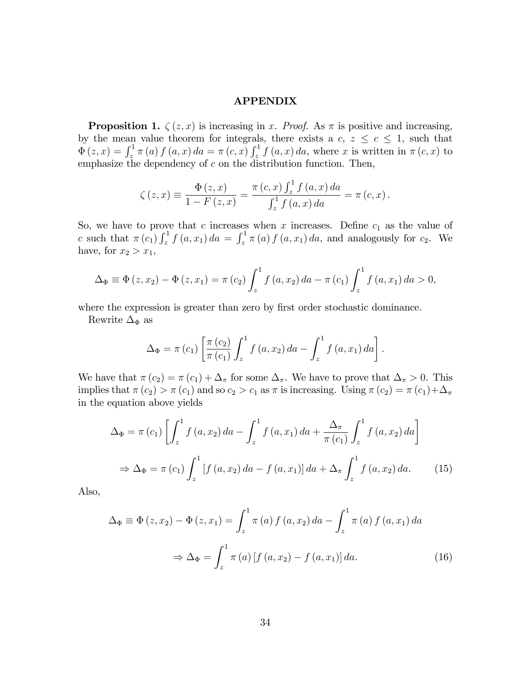## APPENDIX

**Proposition 1.**  $\zeta(z, x)$  is increasing in x. Proof. As  $\pi$  is positive and increasing, by the mean value theorem for integrals, there exists a  $c, z \leq c \leq 1$ , such that  $\Phi(z,x) = \int_z^1 \pi(a) f(a,x) da = \pi(c,x) \int_z^1 f(a,x) da$ , where x is written in  $\pi(c,x)$  to emphasize the dependency of  $c$  on the distribution function. Then,

$$
\zeta(z,x) \equiv \frac{\Phi(z,x)}{1 - F(z,x)} = \frac{\pi(c,x) \int_{z}^{1} f(a,x) da}{\int_{z}^{1} f(a,x) da} = \pi(c,x).
$$

So, we have to prove that c increases when x increases. Define  $c_1$  as the value of c such that  $\pi(c_1) \int_z^1 f(a, x_1) da = \int_z^1 \pi(a) f(a, x_1) da$ , and analogously for  $c_2$ . We have, for  $x_2 > x_1$ ,

$$
\Delta_{\Phi} \equiv \Phi(z, x_2) - \Phi(z, x_1) = \pi(c_2) \int_z^1 f(a, x_2) da - \pi(c_1) \int_z^1 f(a, x_1) da > 0,
$$

where the expression is greater than zero by first order stochastic dominance.

Rewrite  $\Delta_{\Phi}$  as

$$
\Delta_{\Phi} = \pi (c_1) \left[ \frac{\pi (c_2)}{\pi (c_1)} \int_z^1 f(a, x_2) \, da - \int_z^1 f(a, x_1) \, da \right].
$$

We have that  $\pi(c_2) = \pi(c_1) + \Delta_{\pi}$  for some  $\Delta_{\pi}$ . We have to prove that  $\Delta_{\pi} > 0$ . This implies that  $\pi(c_2) > \pi(c_1)$  and so  $c_2 > c_1$  as  $\pi$  is increasing. Using  $\pi(c_2) = \pi(c_1)+\Delta_{\pi}$ in the equation above yields

$$
\Delta_{\Phi} = \pi(c_1) \left[ \int_{z}^{1} f(a, x_2) da - \int_{z}^{1} f(a, x_1) da + \frac{\Delta_{\pi}}{\pi(c_1)} \int_{z}^{1} f(a, x_2) da \right]
$$
  

$$
\Rightarrow \Delta_{\Phi} = \pi(c_1) \int_{z}^{1} \left[ f(a, x_2) da - f(a, x_1) \right] da + \Delta_{\pi} \int_{z}^{1} f(a, x_2) da. \tag{15}
$$

Also,

$$
\Delta_{\Phi} \equiv \Phi(z, x_2) - \Phi(z, x_1) = \int_{z}^{1} \pi(a) f(a, x_2) da - \int_{z}^{1} \pi(a) f(a, x_1) da
$$
  

$$
\Rightarrow \Delta_{\Phi} = \int_{z}^{1} \pi(a) [f(a, x_2) - f(a, x_1)] da.
$$
 (16)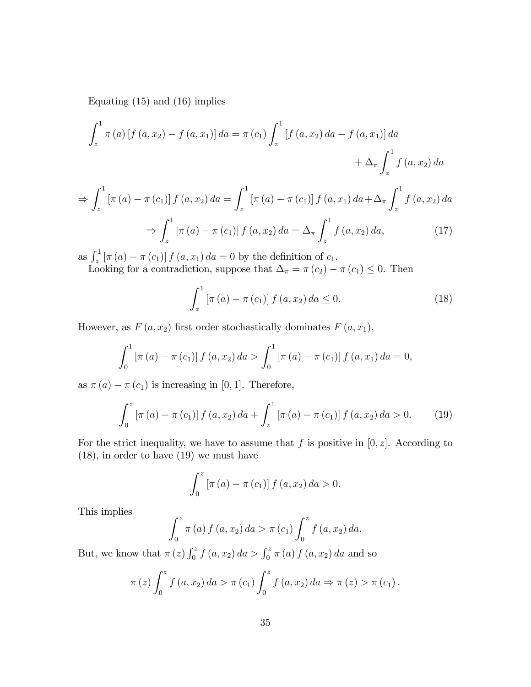Equating (15) and (16) implies

$$
\int_{z}^{1} \pi(a) [f(a, x_{2}) - f(a, x_{1})] da = \pi(c_{1}) \int_{z}^{1} [f(a, x_{2}) da - f(a, x_{1})] da
$$
  
+  $\Delta_{\pi} \int_{z}^{1} f(a, x_{2}) da$ 

$$
\Rightarrow \int_{z}^{1} \left[\pi(a) - \pi(c_1)\right] f\left(a, x_2\right) da = \int_{z}^{1} \left[\pi(a) - \pi(c_1)\right] f\left(a, x_1\right) da + \Delta_{\pi} \int_{z}^{1} f\left(a, x_2\right) da
$$

$$
\Rightarrow \int_{z}^{1} \left[\pi(a) - \pi(c_1)\right] f\left(a, x_2\right) da = \Delta \int_{z}^{1} f\left(a, x_2\right) da \tag{17}
$$

$$
\Rightarrow \int_{z}^{1} \left[ \pi \left( a \right) - \pi \left( c_1 \right) \right] f \left( a, x_2 \right) da = \Delta_{\pi} \int_{z}^{1} f \left( a, x_2 \right) da, \tag{17}
$$

as  $\int_{z}^{1} [\pi(a) - \pi(c_1)] f(a, x_1) da = 0$  by the definition of  $c_1$ .

Looking for a contradiction, suppose that  $\Delta_{\pi} = \pi (c_2) - \pi (c_1) \leq 0$ . Then

$$
\int_{z}^{1} \left[ \pi (a) - \pi (c_1) \right] f(a, x_2) \, da \le 0. \tag{18}
$$

However, as  $F(a, x_2)$  first order stochastically dominates  $F(a, x_1)$ ,

$$
\int_0^1 \left[ \pi(a) - \pi(c_1) \right] f(a, x_2) \, da > \int_0^1 \left[ \pi(a) - \pi(c_1) \right] f(a, x_1) \, da = 0,
$$

as  $\pi(a) - \pi(c_1)$  is increasing in [0, 1]. Therefore,

$$
\int_0^z \left[ \pi(a) - \pi(c_1) \right] f(a, x_2) \, da + \int_z^1 \left[ \pi(a) - \pi(c_1) \right] f(a, x_2) \, da > 0. \tag{19}
$$

For the strict inequality, we have to assume that f is positive in  $[0, z]$ . According to (18), in order to have (19) we must have

$$
\int_0^z \left[ \pi(a) - \pi(c_1) \right] f(a, x_2) \, da > 0.
$$

This implies

$$
\int_0^z \pi(a) \, f(a, x_2) \, da > \pi(c_1) \int_0^z f(a, x_2) \, da.
$$

But, we know that  $\pi(z) \int_0^z f(a, x_2) da > \int_0^z \pi(a) f(a, x_2) da$  and so

$$
\pi(z) \int_0^z f(a, x_2) da > \pi(c_1) \int_0^z f(a, x_2) da \Rightarrow \pi(z) > \pi(c_1).
$$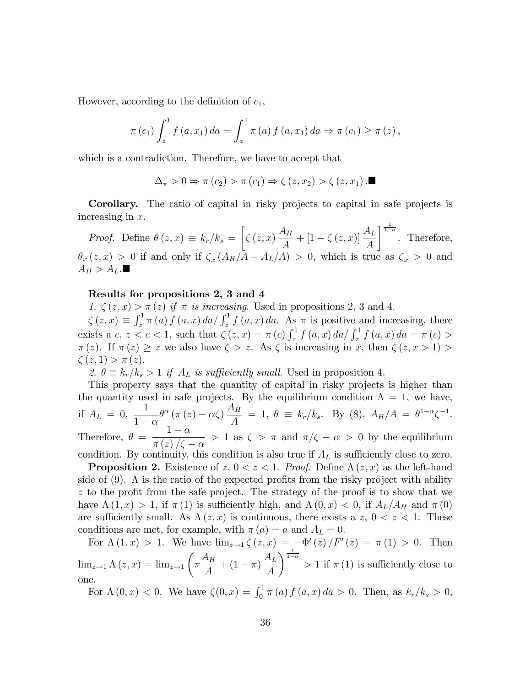However, according to the definition of  $c_1$ ,

$$
\pi(c_1) \int_z^1 f(a, x_1) da = \int_z^1 \pi(a) f(a, x_1) da \Rightarrow \pi(c_1) \ge \pi(z),
$$

which is a contradiction. Therefore, we have to accept that

$$
\Delta_{\pi} > 0 \Rightarrow \pi(c_2) > \pi(c_1) \Rightarrow \zeta(z, x_2) > \zeta(z, x_1) . \blacksquare
$$

Corollary. The ratio of capital in risky projects to capital in safe projects is increasing in x.

*Proof.* Define  $\theta(z, x) \equiv k_r/k_s =$  $\sqrt{ }$  $\zeta\left(z,x\right)\frac{A_H}{4}$  $\frac{A_H}{A} + [1 - \zeta(z, x)] \frac{A_L}{A}$  $\int_{1-\alpha}^{\frac{1}{1-\alpha}}$ . Therefore,  $\theta_x(z,x) > 0$  if and only if  $\zeta_x(A_H/A - A_L/A) > 0$ , which is true as  $\zeta_x > 0$  and  $A_H > A_L$ .

## Results for propositions 2, 3 and 4

1.  $\zeta(z, x) > \pi(z)$  if  $\pi$  is increasing. Used in propositions 2, 3 and 4.

 $\zeta(z,x) \equiv \int_z^1 \pi(a) f(a,x) da / \int_z^1 f(a,x) da$ . As  $\pi$  is positive and increasing, there exists a c,  $z < c < 1$ , such that  $\zeta(z, x) = \pi(c) \int_z^1 f(a, x) da / \int_z^1 f(a, x) da = \pi(c) >$  $\pi(z)$ . If  $\pi(z) \geq z$  we also have  $\zeta > z$ . As  $\zeta$  is increasing in x, then  $\zeta(z, x > 1) > z$  $\zeta(z, 1) > \pi(z).$ 

2.  $\theta \equiv k_r/k_s > 1$  if  $A_L$  is sufficiently small. Used in proposition 4.

This property says that the quantity of capital in risky projects is higher than the quantity used in safe projects. By the equilibrium condition  $\Lambda = 1$ , we have, if  $A_L = 0$ , 1  $1-\alpha$  $\theta^{\alpha}(\pi(z) - \alpha \zeta)$  $A_H$  $\frac{d^4H}{dt} = 1, \ \theta \equiv k_r/k_s.$  By (8),  $A_H/A = \theta^{1-\alpha}\zeta^{-1}.$ Therefore,  $\theta = \frac{1-\alpha}{\sqrt{1-\alpha^2}}$  $> 1$  as  $\zeta > \pi$  and  $\pi/\zeta - \alpha > 0$  by the equilibrium

 $\pi(z)/\zeta-\alpha$ condition. By continuity, this condition is also true if  $A_L$  is sufficiently close to zero.

**Proposition 2.** Existence of  $z, 0 < z < 1$ . Proof. Define  $\Lambda(z, x)$  as the left-hand side of  $(9)$ . A is the ratio of the expected profits from the risky project with ability  $z$  to the profit from the safe project. The strategy of the proof is to show that we have  $\Lambda(1,x) > 1$ , if  $\pi(1)$  is sufficiently high, and  $\Lambda(0,x) < 0$ , if  $A_L/A_H$  and  $\pi(0)$ are sufficiently small. As  $\Lambda(z, x)$  is continuous, there exists a z,  $0 < z < 1$ . These conditions are met, for example, with  $\pi(a) = a$  and  $A_L = 0$ .

For  $\Lambda(1,x) > 1$ . We have  $\lim_{z \to 1} \zeta(z,x) = -\Phi'(z)/F'(z) = \pi(1) > 0$ . Then  $\lim_{z \to 1} \Lambda(z, x) = \lim_{z \to 1}$  $\sqrt{ }$  $\pi \frac{A_H}{4}$  $\frac{4\pi}{A} + (1 - \pi)$  $A_L$ A  $\int_{1-\alpha}^{\frac{1}{1-\alpha}}$  > 1 if  $\pi(1)$  is sufficiently close to one.

For  $\Lambda(0, x) < 0$ . We have  $\zeta(0, x) = \int_0^1 \pi(a) f(a, x) da > 0$ . Then, as  $k_r / k_s > 0$ ,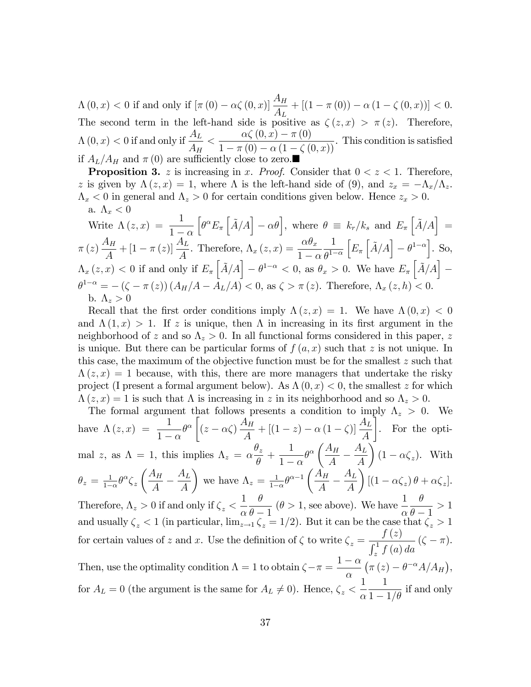$\Lambda(0,x) < 0 \text{ if and only if } [\pi(0) - \alpha \zeta(0,x)] \frac{A_H}{A_L} + [(1 - \pi(0)) - \alpha (1 - \zeta(0,x))] < 0.$ The second term in the left-hand side is positive as  $\zeta(z, x) > \pi(z)$ . Therefore,  $\Lambda\left(0,x\right)<0$  if and only if  $\frac{A_L}{A}$  $A_H$  $\lt \frac{\alpha \zeta(0,x) - \pi(0)}{1 - \alpha \zeta(0)}$  $\frac{dS(\sigma, \omega) - R(\sigma)}{1 - \pi(0) - \alpha(1 - \zeta(0, x))}$ . This condition is satisfied if  $A_L/A_H$  and  $\pi (0)$  are sufficiently close to zero.

**Proposition 3.** z is increasing in x. Proof. Consider that  $0 < z < 1$ . Therefore, z is given by  $\Lambda(z, x) = 1$ , where  $\Lambda$  is the left-hand side of (9), and  $z_x = -\Lambda_x/\Lambda_z$ .  $\Lambda_x < 0$  in general and  $\Lambda_z > 0$  for certain conditions given below. Hence  $z_x > 0$ . a.  $\Lambda_x < 0$ 

Write 
$$
\Lambda(z, x) = \frac{1}{1-\alpha} \left[ \theta^{\alpha} E_{\pi} \left[ \tilde{A}/A \right] - \alpha \theta \right]
$$
, where  $\theta \equiv k_r / k_s$  and  $E_{\pi} \left[ \tilde{A}/A \right] = \pi(z) \frac{A_H}{A} + [1 - \pi(z)] \frac{A_L}{A}$ . Therefore,  $\Lambda_x(z, x) = \frac{\alpha \theta_x}{1-\alpha} \frac{1}{\theta^{1-\alpha}} \left[ E_{\pi} \left[ \tilde{A}/A \right] - \theta^{1-\alpha} \right]$ . So,  
\n $\Lambda_x(z, x) < 0$  if and only if  $E_{\pi} \left[ \tilde{A}/A \right] - \theta^{1-\alpha} < 0$ , as  $\theta_x > 0$ . We have  $E_{\pi} \left[ \tilde{A}/A \right] - \theta^{1-\alpha} = -(\zeta - \pi(z)) (A_H/A - A_L/A) < 0$ , as  $\zeta > \pi(z)$ . Therefore,  $\Lambda_x(z, h) < 0$ .  
\nb.  $\Lambda_z > 0$ 

Recall that the first order conditions imply  $\Lambda(z, x) = 1$ . We have  $\Lambda(0, x) < 0$ and  $\Lambda(1,x) > 1$ . If z is unique, then  $\Lambda$  in increasing in its first argument in the neighborhood of z and so  $\Lambda_z > 0$ . In all functional forms considered in this paper, z is unique. But there can be particular forms of  $f(a, x)$  such that z is not unique. In this case, the maximum of the objective function must be for the smallest  $z$  such that  $\Lambda(z, x) = 1$  because, with this, there are more managers that undertake the risky project (I present a formal argument below). As  $\Lambda(0, x) < 0$ , the smallest z for which  $\Lambda(z, x) = 1$  is such that  $\Lambda$  is increasing in z in its neighborhood and so  $\Lambda_z > 0$ .

The formal argument that follows presents a condition to imply 
$$
\Lambda_z > 0
$$
. We  
\nhave  $\Lambda(z, x) = \frac{1}{1-\alpha} \theta^{\alpha} \left[ (z - \alpha \zeta) \frac{A_H}{A} + [(1 - z) - \alpha (1 - \zeta)] \frac{A_L}{A} \right]$ . For the opti-  
\nmal  $z$ , as  $\Lambda = 1$ , this implies  $\Lambda_z = \alpha \frac{\theta_z}{\theta} + \frac{1}{1-\alpha} \theta^{\alpha} \left( \frac{A_H}{A} - \frac{A_L}{A} \right) (1 - \alpha \zeta_z)$ . With  
\n $\theta_z = \frac{1}{1-\alpha} \theta^{\alpha} \zeta_z \left( \frac{A_H}{A} - \frac{A_L}{A} \right)$  we have  $\Lambda_z = \frac{1}{1-\alpha} \theta^{\alpha-1} \left( \frac{A_H}{A} - \frac{A_L}{A} \right) [(1 - \alpha \zeta_z) \theta + \alpha \zeta_z]$ .  
\nTherefore,  $\Lambda_z > 0$  if and only if  $\zeta_z < \frac{1}{\alpha} \frac{\theta}{\theta - 1}$  ( $\theta > 1$ , see above). We have  $\frac{1}{\alpha} \frac{\theta}{\theta - 1} > 1$   
\nand usually  $\zeta_z < 1$  (in particular,  $\lim_{z \to 1} \zeta_z = 1/2$ ). But it can be the case that  $\zeta_z > 1$   
\nfor certain values of  $z$  and  $x$ . Use the definition of  $\zeta$  to write  $\zeta_z = \frac{f(z)}{\int_z^1 f(a) da} (\zeta - \pi)$ .  
\nThen, use the optimality condition  $\Lambda = 1$  to obtain  $\zeta - \pi = \frac{1 - \alpha}{\alpha} (\pi (z) - \theta^{-\alpha} A / A_H)$ ,  
\nfor  $A_L = 0$  (the argument is the same for  $A_L \neq 0$ ). Hence,  $\zeta_z < \frac{1}{\alpha} \frac{1}{1 - 1/\theta}$  if and only